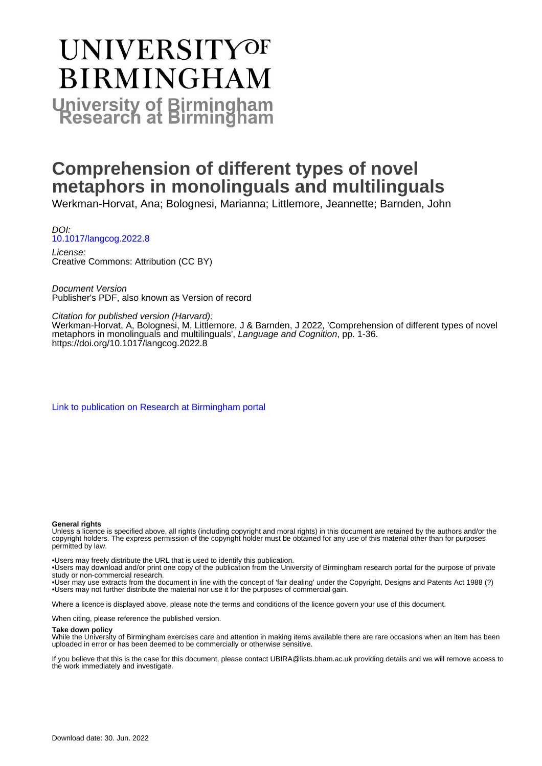# **UNIVERSITYOF BIRMINGHAM University of Birmingham**

# **Comprehension of different types of novel metaphors in monolinguals and multilinguals**

Werkman-Horvat, Ana; Bolognesi, Marianna; Littlemore, Jeannette; Barnden, John

DOI: [10.1017/langcog.2022.8](https://doi.org/10.1017/langcog.2022.8)

License: Creative Commons: Attribution (CC BY)

Document Version Publisher's PDF, also known as Version of record

Citation for published version (Harvard):

Werkman-Horvat, A, Bolognesi, M, Littlemore, J & Barnden, J 2022, 'Comprehension of different types of novel metaphors in monolinguals and multilinguals', Language and Cognition, pp. 1-36. <https://doi.org/10.1017/langcog.2022.8>

[Link to publication on Research at Birmingham portal](https://birmingham.elsevierpure.com/en/publications/0cc158c4-5165-4b13-a472-556f1e2c6a50)

### **General rights**

Unless a licence is specified above, all rights (including copyright and moral rights) in this document are retained by the authors and/or the copyright holders. The express permission of the copyright holder must be obtained for any use of this material other than for purposes permitted by law.

• Users may freely distribute the URL that is used to identify this publication.

• Users may download and/or print one copy of the publication from the University of Birmingham research portal for the purpose of private study or non-commercial research.

• User may use extracts from the document in line with the concept of 'fair dealing' under the Copyright, Designs and Patents Act 1988 (?) • Users may not further distribute the material nor use it for the purposes of commercial gain.

Where a licence is displayed above, please note the terms and conditions of the licence govern your use of this document.

When citing, please reference the published version.

#### **Take down policy**

While the University of Birmingham exercises care and attention in making items available there are rare occasions when an item has been uploaded in error or has been deemed to be commercially or otherwise sensitive.

If you believe that this is the case for this document, please contact UBIRA@lists.bham.ac.uk providing details and we will remove access to the work immediately and investigate.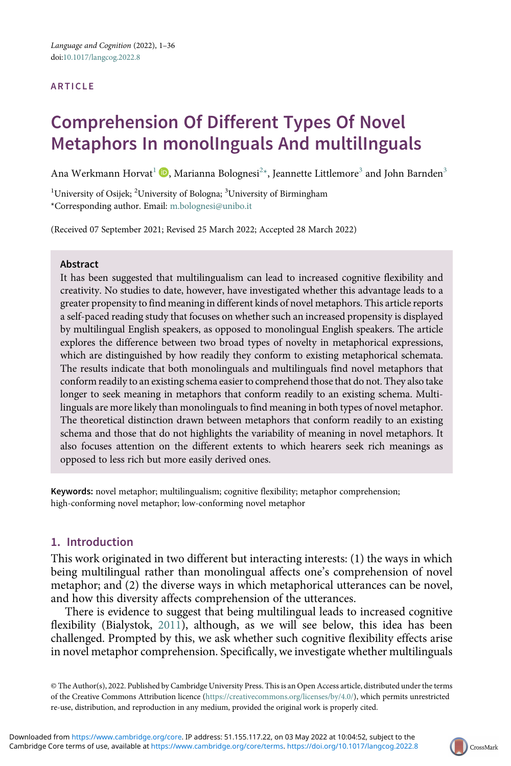#### ARTICLE

# Comprehension Of Different Types Of Novel Metaphors In monolInguals And multilInguals

Ana Werkmann Horvat $^1$  $^1$   $\mathbf{O}$ , Marianna Bolognesi $^{2*}$  $^{2*}$  $^{2*}$  $^{2*}$ , Jeannette Littlemore $^3$  $^3$  and John Barnden $^3$ 

<span id="page-1-1"></span><span id="page-1-0"></span> $^1$ University of Osijek;  $^2$ University of Bologna;  $^3$ University of Birmingham \*Corresponding author. Email: [m.bolognesi@unibo.it](mailto:m.bolognesi@unibo.it)

(Received 07 September 2021; Revised 25 March 2022; Accepted 28 March 2022)

#### Abstract

It has been suggested that multilingualism can lead to increased cognitive flexibility and creativity. No studies to date, however, have investigated whether this advantage leads to a greater propensity to find meaning in different kinds of novel metaphors. This article reports a self-paced reading study that focuses on whether such an increased propensity is displayed by multilingual English speakers, as opposed to monolingual English speakers. The article explores the difference between two broad types of novelty in metaphorical expressions, which are distinguished by how readily they conform to existing metaphorical schemata. The results indicate that both monolinguals and multilinguals find novel metaphors that conform readily to an existing schema easier to comprehend those that do not. They also take longer to seek meaning in metaphors that conform readily to an existing schema. Multilinguals are more likely than monolinguals to find meaning in both types of novel metaphor. The theoretical distinction drawn between metaphors that conform readily to an existing schema and those that do not highlights the variability of meaning in novel metaphors. It also focuses attention on the different extents to which hearers seek rich meanings as opposed to less rich but more easily derived ones.

Keywords: novel metaphor; multilingualism; cognitive flexibility; metaphor comprehension; high-conforming novel metaphor; low-conforming novel metaphor

# 1. Introduction

This work originated in two different but interacting interests: (1) the ways in which being multilingual rather than monolingual affects one's comprehension of novel metaphor; and (2) the diverse ways in which metaphorical utterances can be novel, and how this diversity affects comprehension of the utterances.

There is evidence to suggest that being multilingual leads to increased cognitive flexibility (Bialystok, [2011\)](#page-33-0), although, as we will see below, this idea has been challenged. Prompted by this, we ask whether such cognitive flexibility effects arise in novel metaphor comprehension. Specifically, we investigate whether multilinguals

© The Author(s), 2022. Published by Cambridge University Press. This is an Open Access article, distributed under the terms of the Creative Commons Attribution licence [\(https://creativecommons.org/licenses/by/4.0/](https://creativecommons.org/licenses/by/4.0/)), which permits unrestricted re-use, distribution, and reproduction in any medium, provided the original work is properly cited.

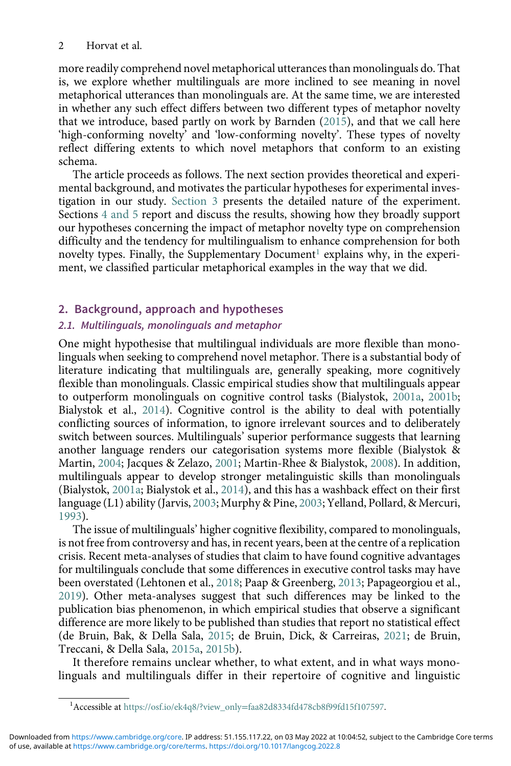more readily comprehend novel metaphorical utterances than monolinguals do. That is, we explore whether multilinguals are more inclined to see meaning in novel metaphorical utterances than monolinguals are. At the same time, we are interested in whether any such effect differs between two different types of metaphor novelty that we introduce, based partly on work by Barnden ([2015](#page-33-1)), and that we call here 'high-conforming novelty' and 'low-conforming novelty'. These types of novelty reflect differing extents to which novel metaphors that conform to an existing schema.

The article proceeds as follows. The next section provides theoretical and experimental background, and motivates the particular hypotheses for experimental investigation in our study. Section 3 presents the detailed nature of the experiment. Sections 4 and 5 report and discuss the results, showing how they broadly support our hypotheses concerning the impact of metaphor novelty type on comprehension difficulty and the tendency for multilingualism to enhance comprehension for both novelty types. Finally, the Supplementary Document<sup>1</sup> explains why, in the experiment, we classified particular metaphorical examples in the way that we did.

# 2. Background, approach and hypotheses

# 2.1. Multilinguals, monolinguals and metaphor

One might hypothesise that multilingual individuals are more flexible than monolinguals when seeking to comprehend novel metaphor. There is a substantial body of literature indicating that multilinguals are, generally speaking, more cognitively flexible than monolinguals. Classic empirical studies show that multilinguals appear to outperform monolinguals on cognitive control tasks (Bialystok, [2001a](#page-33-2), [2001b;](#page-33-3) Bialystok et al., [2014](#page-33-4)). Cognitive control is the ability to deal with potentially conflicting sources of information, to ignore irrelevant sources and to deliberately switch between sources. Multilinguals' superior performance suggests that learning another language renders our categorisation systems more flexible (Bialystok & Martin, [2004](#page-33-5); Jacques & Zelazo, [2001;](#page-34-0) Martin-Rhee & Bialystok, [2008\)](#page-35-0). In addition, multilinguals appear to develop stronger metalinguistic skills than monolinguals (Bialystok, [2001a;](#page-33-2) Bialystok et al., [2014\)](#page-33-4), and this has a washback effect on their first language (L1) ability (Jarvis, [2003](#page-34-1); Murphy & Pine, [2003;](#page-35-1) Yelland, Pollard, & Mercuri, [1993\)](#page-36-0).

The issue of multilinguals' higher cognitive flexibility, compared to monolinguals, is not free from controversy and has, in recent years, been at the centre of a replication crisis. Recent meta-analyses of studies that claim to have found cognitive advantages for multilinguals conclude that some differences in executive control tasks may have been overstated (Lehtonen et al., [2018;](#page-35-2) Paap & Greenberg, [2013;](#page-35-3) Papageorgiou et al., [2019\)](#page-35-4). Other meta-analyses suggest that such differences may be linked to the publication bias phenomenon, in which empirical studies that observe a significant difference are more likely to be published than studies that report no statistical effect (de Bruin, Bak, & Della Sala, [2015;](#page-34-2) de Bruin, Dick, & Carreiras, [2021](#page-34-3); de Bruin, Treccani, & Della Sala, [2015a,](#page-34-4) [2015b](#page-34-5)).

It therefore remains unclear whether, to what extent, and in what ways monolinguals and multilinguals differ in their repertoire of cognitive and linguistic

<sup>&</sup>lt;sup>1</sup> Accessible at https://osf.io/ek4q8/?view\_only=[faa82d8334fd478cb8f99fd15f107597.](https://osf.io/ek4q8/?view_onlyfaa82d8334fd478cb8f99fd15f107597)

<span id="page-2-0"></span>of use, available at <https://www.cambridge.org/core/terms>.<https://doi.org/10.1017/langcog.2022.8> Downloaded from<https://www.cambridge.org/core>. IP address: 51.155.117.22, on 03 May 2022 at 10:04:52, subject to the Cambridge Core terms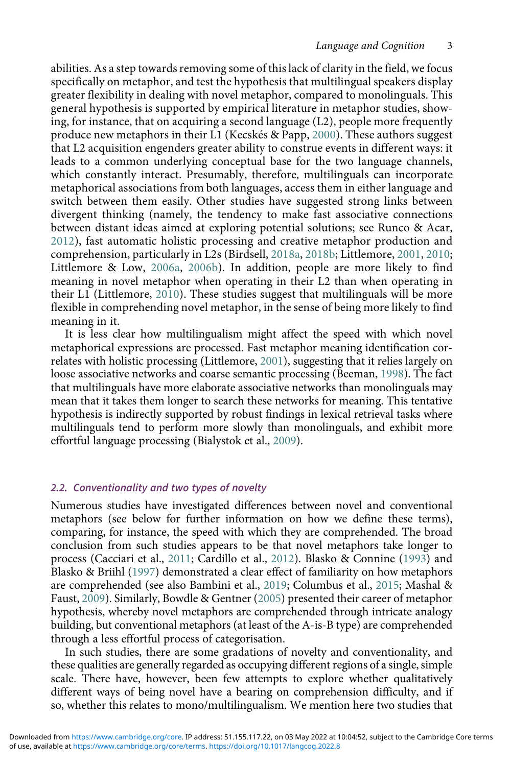abilities. As a step towards removing some of this lack of clarity in the field, we focus specifically on metaphor, and test the hypothesis that multilingual speakers display greater flexibility in dealing with novel metaphor, compared to monolinguals. This general hypothesis is supported by empirical literature in metaphor studies, showing, for instance, that on acquiring a second language (L2), people more frequently produce new metaphors in their L1 (Kecskés & Papp, [2000](#page-34-6)). These authors suggest that L2 acquisition engenders greater ability to construe events in different ways: it leads to a common underlying conceptual base for the two language channels, which constantly interact. Presumably, therefore, multilinguals can incorporate metaphorical associations from both languages, access them in either language and switch between them easily. Other studies have suggested strong links between divergent thinking (namely, the tendency to make fast associative connections between distant ideas aimed at exploring potential solutions; see Runco & Acar, [2012\)](#page-35-5), fast automatic holistic processing and creative metaphor production and comprehension, particularly in L2s (Birdsell, [2018a](#page-33-6), [2018b;](#page-33-7) Littlemore, [2001,](#page-35-6) [2010](#page-35-7); Littlemore & Low, [2006a,](#page-35-8) [2006b\)](#page-35-9). In addition, people are more likely to find meaning in novel metaphor when operating in their L2 than when operating in their L1 (Littlemore, [2010](#page-35-7)). These studies suggest that multilinguals will be more flexible in comprehending novel metaphor, in the sense of being more likely to find meaning in it.

It is less clear how multilingualism might affect the speed with which novel metaphorical expressions are processed. Fast metaphor meaning identification correlates with holistic processing (Littlemore, [2001\)](#page-35-6), suggesting that it relies largely on loose associative networks and coarse semantic processing (Beeman, [1998](#page-33-8)). The fact that multilinguals have more elaborate associative networks than monolinguals may mean that it takes them longer to search these networks for meaning. This tentative hypothesis is indirectly supported by robust findings in lexical retrieval tasks where multilinguals tend to perform more slowly than monolinguals, and exhibit more effortful language processing (Bialystok et al., [2009\)](#page-33-9).

# 2.2. Conventionality and two types of novelty

Numerous studies have investigated differences between novel and conventional metaphors (see below for further information on how we define these terms), comparing, for instance, the speed with which they are comprehended. The broad conclusion from such studies appears to be that novel metaphors take longer to process (Cacciari et al., [2011](#page-33-10); Cardillo et al., [2012](#page-33-11)). Blasko & Connine ([1993](#page-33-12)) and Blasko & Briihl [\(1997\)](#page-33-13) demonstrated a clear effect of familiarity on how metaphors are comprehended (see also Bambini et al., [2019;](#page-33-14) Columbus et al., [2015](#page-34-7); Mashal & Faust, [2009\)](#page-35-10). Similarly, Bowdle & Gentner [\(2005\)](#page-33-15) presented their career of metaphor hypothesis, whereby novel metaphors are comprehended through intricate analogy building, but conventional metaphors (at least of the A-is-B type) are comprehended through a less effortful process of categorisation.

In such studies, there are some gradations of novelty and conventionality, and these qualities are generally regarded as occupying different regions of a single, simple scale. There have, however, been few attempts to explore whether qualitatively different ways of being novel have a bearing on comprehension difficulty, and if so, whether this relates to mono/multilingualism. We mention here two studies that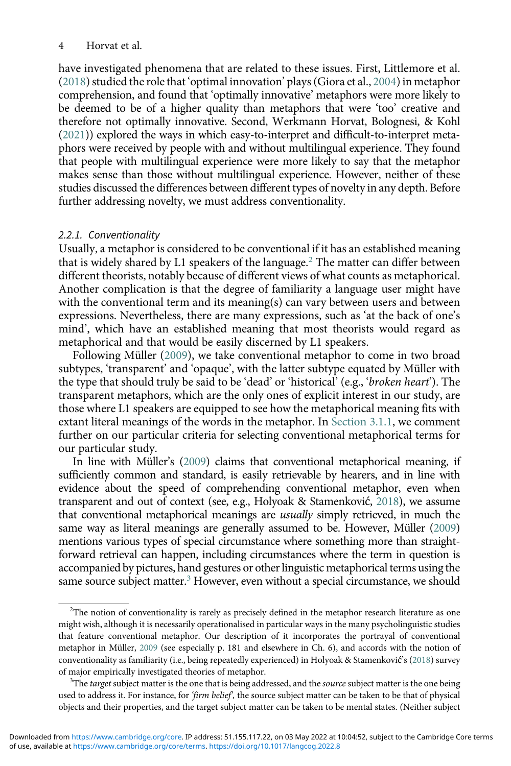#### 4 Horvat et al.

have investigated phenomena that are related to these issues. First, Littlemore et al. ([2018](#page-35-11)) studied the role that 'optimal innovation' plays (Giora et al., [2004](#page-34-8)) in metaphor comprehension, and found that 'optimally innovative' metaphors were more likely to be deemed to be of a higher quality than metaphors that were 'too' creative and therefore not optimally innovative. Second, Werkmann Horvat, Bolognesi, & Kohl ([2021\)](#page-35-12)) explored the ways in which easy-to-interpret and difficult-to-interpret metaphors were received by people with and without multilingual experience. They found that people with multilingual experience were more likely to say that the metaphor makes sense than those without multilingual experience. However, neither of these studies discussed the differences between different types of novelty in any depth. Before further addressing novelty, we must address conventionality.

#### 2.2.1. Conventionality

Usually, a metaphor is considered to be conventional if it has an established meaning that is widely shared by L1 speakers of the language.<sup>[2](#page-4-0)</sup> The matter can differ between different theorists, notably because of different views of what counts as metaphorical. Another complication is that the degree of familiarity a language user might have with the conventional term and its meaning(s) can vary between users and between expressions. Nevertheless, there are many expressions, such as 'at the back of one's mind', which have an established meaning that most theorists would regard as metaphorical and that would be easily discerned by L1 speakers.

Following Müller ([2009](#page-35-13)), we take conventional metaphor to come in two broad subtypes, 'transparent' and 'opaque', with the latter subtype equated by Müller with the type that should truly be said to be 'dead' or 'historical' (e.g., 'broken heart'). The transparent metaphors, which are the only ones of explicit interest in our study, are those where L1 speakers are equipped to see how the metaphorical meaning fits with extant literal meanings of the words in the metaphor. In Section 3.1.1, we comment further on our particular criteria for selecting conventional metaphorical terms for our particular study.

In line with Müller's ([2009\)](#page-35-13) claims that conventional metaphorical meaning, if sufficiently common and standard, is easily retrievable by hearers, and in line with evidence about the speed of comprehending conventional metaphor, even when transparent and out of context (see, e.g., Holyoak & Stamenković, [2018](#page-34-9)), we assume that conventional metaphorical meanings are usually simply retrieved, in much the same way as literal meanings are generally assumed to be. However, Müller ([2009\)](#page-35-13) mentions various types of special circumstance where something more than straightforward retrieval can happen, including circumstances where the term in question is accompanied by pictures, hand gestures or other linguistic metaphorical terms using the same source subject matter.<sup>3</sup> However, even without a special circumstance, we should

<span id="page-4-0"></span> $2$ The notion of conventionality is rarely as precisely defined in the metaphor research literature as one might wish, although it is necessarily operationalised in particular ways in the many psycholinguistic studies that feature conventional metaphor. Our description of it incorporates the portrayal of conventional metaphor in Müller, [2009](#page-35-13) (see especially p. 181 and elsewhere in Ch. 6), and accords with the notion of conventionality as familiarity (i.e., being repeatedly experienced) in Holyoak & Stamenković's ([2018](#page-34-9)) survey of major empirically investigated theories of metaphor.

<span id="page-4-1"></span> $3$ The *target* subject matter is the one that is being addressed, and the *source* subject matter is the one being used to address it. For instance, for 'firm belief', the source subject matter can be taken to be that of physical objects and their properties, and the target subject matter can be taken to be mental states. (Neither subject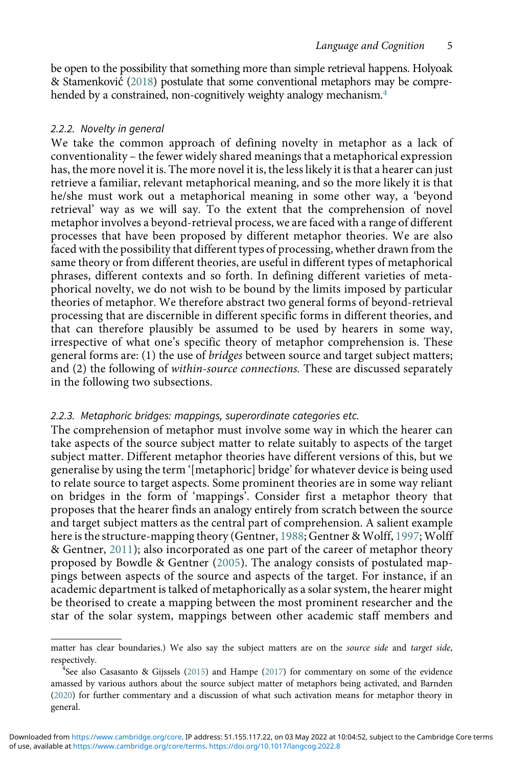be open to the possibility that something more than simple retrieval happens. Holyoak & Stamenković [\(2018](#page-34-9)) postulate that some conventional metaphors may be compre-hended by a constrained, non-cognitively weighty analogy mechanism.<sup>[4](#page-5-0)</sup>

# 2.2.2. Novelty in general

We take the common approach of defining novelty in metaphor as a lack of conventionality – the fewer widely shared meanings that a metaphorical expression has, the more novel it is. The more novel it is, the less likely it is that a hearer can just retrieve a familiar, relevant metaphorical meaning, and so the more likely it is that he/she must work out a metaphorical meaning in some other way, a 'beyond retrieval' way as we will say. To the extent that the comprehension of novel metaphor involves a beyond-retrieval process, we are faced with a range of different processes that have been proposed by different metaphor theories. We are also faced with the possibility that different types of processing, whether drawn from the same theory or from different theories, are useful in different types of metaphorical phrases, different contexts and so forth. In defining different varieties of metaphorical novelty, we do not wish to be bound by the limits imposed by particular theories of metaphor. We therefore abstract two general forms of beyond-retrieval processing that are discernible in different specific forms in different theories, and that can therefore plausibly be assumed to be used by hearers in some way, irrespective of what one's specific theory of metaphor comprehension is. These general forms are: (1) the use of bridges between source and target subject matters; and (2) the following of within-source connections. These are discussed separately in the following two subsections.

#### 2.2.3. Metaphoric bridges: mappings, superordinate categories etc.

The comprehension of metaphor must involve some way in which the hearer can take aspects of the source subject matter to relate suitably to aspects of the target subject matter. Different metaphor theories have different versions of this, but we generalise by using the term '[metaphoric] bridge' for whatever device is being used to relate source to target aspects. Some prominent theories are in some way reliant on bridges in the form of 'mappings'. Consider first a metaphor theory that proposes that the hearer finds an analogy entirely from scratch between the source and target subject matters as the central part of comprehension. A salient example here is the structure-mapping theory (Gentner, [1988](#page-34-10); Gentner & Wolff, [1997;](#page-34-11) Wolff & Gentner, [2011](#page-36-1)); also incorporated as one part of the career of metaphor theory proposed by Bowdle & Gentner ([2005\)](#page-33-15). The analogy consists of postulated mappings between aspects of the source and aspects of the target. For instance, if an academic department is talked of metaphorically as a solar system, the hearer might be theorised to create a mapping between the most prominent researcher and the star of the solar system, mappings between other academic staff members and

matter has clear boundaries.) We also say the subject matters are on the source side and target side, respectively. <sup>4</sup>

<span id="page-5-0"></span><sup>&</sup>lt;sup>4</sup>See also Casasanto & Gijssels ([2015](#page-33-16)) and Hampe [\(2017\)](#page-34-12) for commentary on some of the evidence amassed by various authors about the source subject matter of metaphors being activated, and Barnden ([2020\)](#page-33-17) for further commentary and a discussion of what such activation means for metaphor theory in general.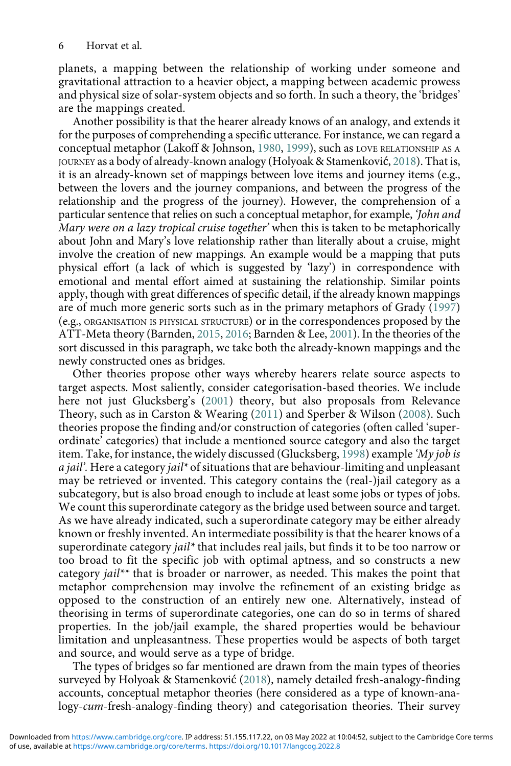planets, a mapping between the relationship of working under someone and gravitational attraction to a heavier object, a mapping between academic prowess and physical size of solar-system objects and so forth. In such a theory, the 'bridges' are the mappings created.

Another possibility is that the hearer already knows of an analogy, and extends it for the purposes of comprehending a specific utterance. For instance, we can regard a conceptual metaphor (Lakoff & Johnson, [1980,](#page-34-13) [1999\)](#page-35-14), such as LOVE RELATIONSHIP AS A JOURNEY as a body of already-known analogy (Holyoak & Stamenković, [2018\)](#page-34-9). That is, it is an already-known set of mappings between love items and journey items (e.g., between the lovers and the journey companions, and between the progress of the relationship and the progress of the journey). However, the comprehension of a particular sentence that relies on such a conceptual metaphor, for example, 'John and Mary were on a lazy tropical cruise together' when this is taken to be metaphorically about John and Mary's love relationship rather than literally about a cruise, might involve the creation of new mappings. An example would be a mapping that puts physical effort (a lack of which is suggested by 'lazy') in correspondence with emotional and mental effort aimed at sustaining the relationship. Similar points apply, though with great differences of specific detail, if the already known mappings are of much more generic sorts such as in the primary metaphors of Grady ([1997\)](#page-34-14) (e.g., ORGANISATION IS PHYSICAL STRUCTURE) or in the correspondences proposed by the ATT-Meta theory (Barnden, [2015,](#page-33-1) [2016;](#page-33-18) Barnden & Lee, [2001\)](#page-33-19). In the theories of the sort discussed in this paragraph, we take both the already-known mappings and the newly constructed ones as bridges.

Other theories propose other ways whereby hearers relate source aspects to target aspects. Most saliently, consider categorisation-based theories. We include here not just Glucksberg's [\(2001](#page-34-15)) theory, but also proposals from Relevance Theory, such as in Carston & Wearing ([2011\)](#page-33-20) and Sperber & Wilson ([2008](#page-35-15)). Such theories propose the finding and/or construction of categories (often called 'superordinate' categories) that include a mentioned source category and also the target item. Take, for instance, the widely discussed (Glucksberg, [1998](#page-34-16)) example 'My job is  $a$  jail'. Here a category jail\* of situations that are behaviour-limiting and unpleasant may be retrieved or invented. This category contains the (real-)jail category as a subcategory, but is also broad enough to include at least some jobs or types of jobs. We count this superordinate category as the bridge used between source and target. As we have already indicated, such a superordinate category may be either already known or freshly invented. An intermediate possibility is that the hearer knows of a superordinate category jail\* that includes real jails, but finds it to be too narrow or too broad to fit the specific job with optimal aptness, and so constructs a new category jail\*\* that is broader or narrower, as needed. This makes the point that metaphor comprehension may involve the refinement of an existing bridge as opposed to the construction of an entirely new one. Alternatively, instead of theorising in terms of superordinate categories, one can do so in terms of shared properties. In the job/jail example, the shared properties would be behaviour limitation and unpleasantness. These properties would be aspects of both target and source, and would serve as a type of bridge.

The types of bridges so far mentioned are drawn from the main types of theories surveyed by Holyoak & Stamenković [\(2018\)](#page-34-9), namely detailed fresh-analogy-finding accounts, conceptual metaphor theories (here considered as a type of known-analogy-cum-fresh-analogy-finding theory) and categorisation theories. Their survey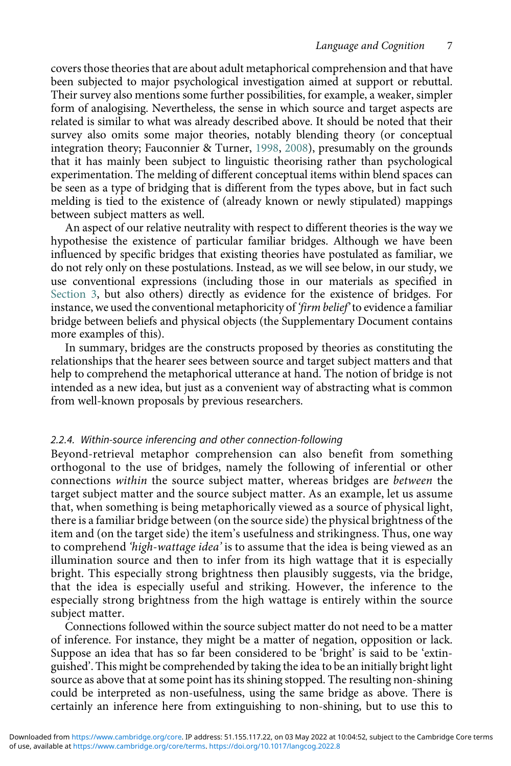covers those theories that are about adult metaphorical comprehension and that have been subjected to major psychological investigation aimed at support or rebuttal. Their survey also mentions some further possibilities, for example, a weaker, simpler form of analogising. Nevertheless, the sense in which source and target aspects are related is similar to what was already described above. It should be noted that their survey also omits some major theories, notably blending theory (or conceptual integration theory; Fauconnier & Turner, [1998,](#page-34-17) [2008\)](#page-34-18), presumably on the grounds that it has mainly been subject to linguistic theorising rather than psychological experimentation. The melding of different conceptual items within blend spaces can be seen as a type of bridging that is different from the types above, but in fact such melding is tied to the existence of (already known or newly stipulated) mappings between subject matters as well.

An aspect of our relative neutrality with respect to different theories is the way we hypothesise the existence of particular familiar bridges. Although we have been influenced by specific bridges that existing theories have postulated as familiar, we do not rely only on these postulations. Instead, as we will see below, in our study, we use conventional expressions (including those in our materials as specified in Section 3, but also others) directly as evidence for the existence of bridges. For instance, we used the conventional metaphoricity of 'firm belief' to evidence a familiar bridge between beliefs and physical objects (the Supplementary Document contains more examples of this).

In summary, bridges are the constructs proposed by theories as constituting the relationships that the hearer sees between source and target subject matters and that help to comprehend the metaphorical utterance at hand. The notion of bridge is not intended as a new idea, but just as a convenient way of abstracting what is common from well-known proposals by previous researchers.

#### 2.2.4. Within-source inferencing and other connection-following

Beyond-retrieval metaphor comprehension can also benefit from something orthogonal to the use of bridges, namely the following of inferential or other connections within the source subject matter, whereas bridges are between the target subject matter and the source subject matter. As an example, let us assume that, when something is being metaphorically viewed as a source of physical light, there is a familiar bridge between (on the source side) the physical brightness of the item and (on the target side) the item's usefulness and strikingness. Thus, one way to comprehend 'high-wattage idea' is to assume that the idea is being viewed as an illumination source and then to infer from its high wattage that it is especially bright. This especially strong brightness then plausibly suggests, via the bridge, that the idea is especially useful and striking. However, the inference to the especially strong brightness from the high wattage is entirely within the source subject matter.

Connections followed within the source subject matter do not need to be a matter of inference. For instance, they might be a matter of negation, opposition or lack. Suppose an idea that has so far been considered to be 'bright' is said to be 'extinguished'. This might be comprehended by taking the idea to be an initially bright light source as above that at some point has its shining stopped. The resulting non-shining could be interpreted as non-usefulness, using the same bridge as above. There is certainly an inference here from extinguishing to non-shining, but to use this to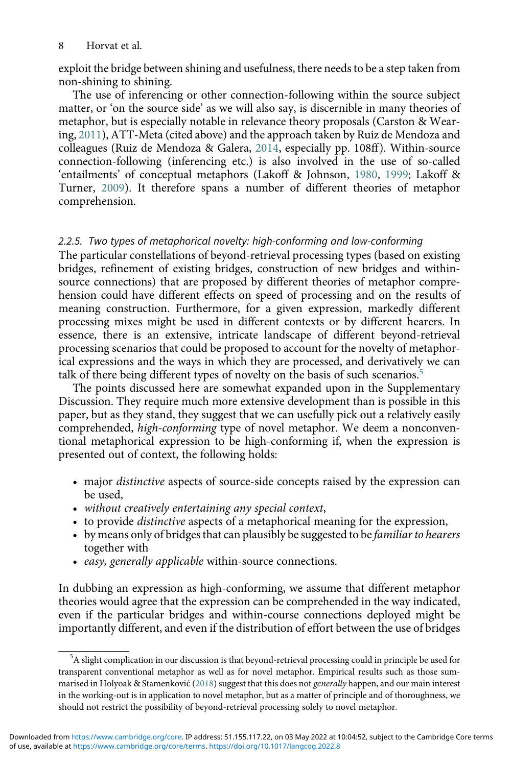exploit the bridge between shining and usefulness, there needs to be a step taken from non-shining to shining.

The use of inferencing or other connection-following within the source subject matter, or 'on the source side' as we will also say, is discernible in many theories of metaphor, but is especially notable in relevance theory proposals (Carston & Wearing, [2011\)](#page-33-20), ATT-Meta (cited above) and the approach taken by Ruiz de Mendoza and colleagues (Ruiz de Mendoza & Galera, [2014,](#page-35-16) especially pp. 108ff). Within-source connection-following (inferencing etc.) is also involved in the use of so-called 'entailments' of conceptual metaphors (Lakoff & Johnson, [1980](#page-34-13), [1999](#page-35-14); Lakoff & Turner, [2009](#page-35-17)). It therefore spans a number of different theories of metaphor comprehension.

# 2.2.5. Two types of metaphorical novelty: high-conforming and low-conforming

The particular constellations of beyond-retrieval processing types (based on existing bridges, refinement of existing bridges, construction of new bridges and withinsource connections) that are proposed by different theories of metaphor comprehension could have different effects on speed of processing and on the results of meaning construction. Furthermore, for a given expression, markedly different processing mixes might be used in different contexts or by different hearers. In essence, there is an extensive, intricate landscape of different beyond-retrieval processing scenarios that could be proposed to account for the novelty of metaphorical expressions and the ways in which they are processed, and derivatively we can talk of there being different types of novelty on the basis of such scenarios.<sup>[5](#page-8-0)</sup>

The points discussed here are somewhat expanded upon in the Supplementary Discussion. They require much more extensive development than is possible in this paper, but as they stand, they suggest that we can usefully pick out a relatively easily comprehended, high-conforming type of novel metaphor. We deem a nonconventional metaphorical expression to be high-conforming if, when the expression is presented out of context, the following holds:

- major distinctive aspects of source-side concepts raised by the expression can be used,
- without creatively entertaining any special context,
- to provide distinctive aspects of a metaphorical meaning for the expression,
- by means only of bridges that can plausibly be suggested to be *familiar to hearers* together with
- easy, generally applicable within-source connections.

In dubbing an expression as high-conforming, we assume that different metaphor theories would agree that the expression can be comprehended in the way indicated, even if the particular bridges and within-course connections deployed might be importantly different, and even if the distribution of effort between the use of bridges

<span id="page-8-0"></span><sup>&</sup>lt;sup>5</sup>A slight complication in our discussion is that beyond-retrieval processing could in principle be used for transparent conventional metaphor as well as for novel metaphor. Empirical results such as those summarised in Holyoak & Stamenković ([2018](#page-34-9)) suggest that this does not generally happen, and our main interest in the working-out is in application to novel metaphor, but as a matter of principle and of thoroughness, we should not restrict the possibility of beyond-retrieval processing solely to novel metaphor.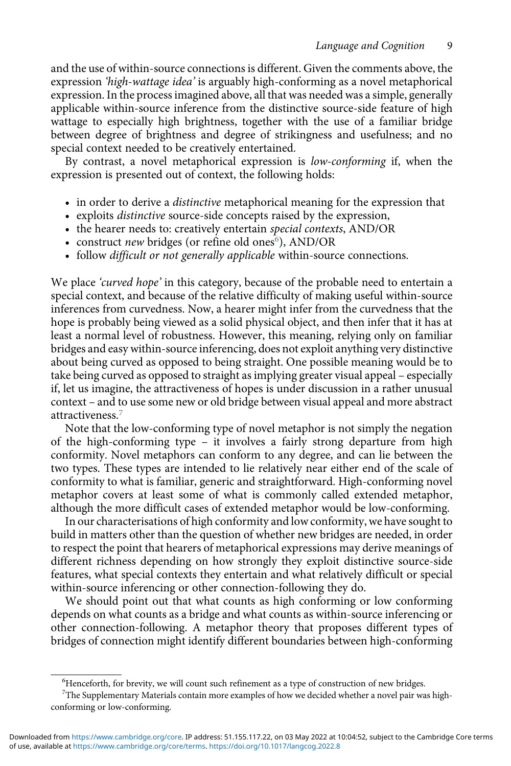and the use of within-source connections is different. Given the comments above, the expression 'high-wattage idea' is arguably high-conforming as a novel metaphorical expression. In the process imagined above, all that was needed was a simple, generally applicable within-source inference from the distinctive source-side feature of high wattage to especially high brightness, together with the use of a familiar bridge between degree of brightness and degree of strikingness and usefulness; and no special context needed to be creatively entertained.

By contrast, a novel metaphorical expression is low-conforming if, when the expression is presented out of context, the following holds:

- in order to derive a *distinctive* metaphorical meaning for the expression that
- exploits distinctive source-side concepts raised by the expression,
- the hearer needs to: creatively entertain *special contexts*, AND/OR
- construct *new* bridges (or refine old ones<sup>[6](#page-9-0)</sup>), AND/OR
- follow difficult or not generally applicable within-source connections.

We place 'curved hope' in this category, because of the probable need to entertain a special context, and because of the relative difficulty of making useful within-source inferences from curvedness. Now, a hearer might infer from the curvedness that the hope is probably being viewed as a solid physical object, and then infer that it has at least a normal level of robustness. However, this meaning, relying only on familiar bridges and easy within-source inferencing, does not exploit anything very distinctive about being curved as opposed to being straight. One possible meaning would be to take being curved as opposed to straight as implying greater visual appeal – especially if, let us imagine, the attractiveness of hopes is under discussion in a rather unusual context – and to use some new or old bridge between visual appeal and more abstract attractiveness.[7](#page-9-1)

Note that the low-conforming type of novel metaphor is not simply the negation of the high-conforming type – it involves a fairly strong departure from high conformity. Novel metaphors can conform to any degree, and can lie between the two types. These types are intended to lie relatively near either end of the scale of conformity to what is familiar, generic and straightforward. High-conforming novel metaphor covers at least some of what is commonly called extended metaphor, although the more difficult cases of extended metaphor would be low-conforming.

In our characterisations of high conformity and low conformity, we have sought to build in matters other than the question of whether new bridges are needed, in order to respect the point that hearers of metaphorical expressions may derive meanings of different richness depending on how strongly they exploit distinctive source-side features, what special contexts they entertain and what relatively difficult or special within-source inferencing or other connection-following they do.

We should point out that what counts as high conforming or low conforming depends on what counts as a bridge and what counts as within-source inferencing or other connection-following. A metaphor theory that proposes different types of bridges of connection might identify different boundaries between high-conforming

<sup>&</sup>lt;sup>6</sup>Henceforth, for brevity, we will count such refinement as a type of construction of new bridges.

<span id="page-9-1"></span><span id="page-9-0"></span> $7$ The Supplementary Materials contain more examples of how we decided whether a novel pair was highconforming or low-conforming.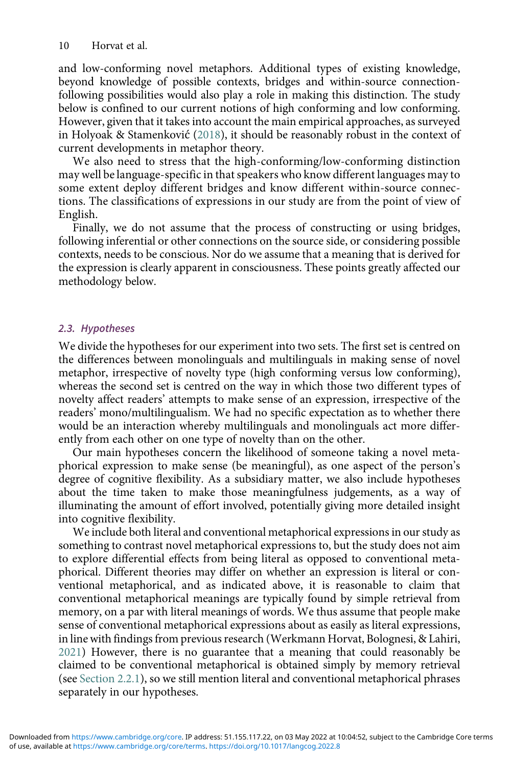and low-conforming novel metaphors. Additional types of existing knowledge, beyond knowledge of possible contexts, bridges and within-source connectionfollowing possibilities would also play a role in making this distinction. The study below is confined to our current notions of high conforming and low conforming. However, given that it takes into account the main empirical approaches, as surveyed in Holyoak & Stamenković [\(2018\)](#page-34-9), it should be reasonably robust in the context of current developments in metaphor theory.

We also need to stress that the high-conforming/low-conforming distinction may well be language-specific in that speakers who know different languages may to some extent deploy different bridges and know different within-source connections. The classifications of expressions in our study are from the point of view of English.

Finally, we do not assume that the process of constructing or using bridges, following inferential or other connections on the source side, or considering possible contexts, needs to be conscious. Nor do we assume that a meaning that is derived for the expression is clearly apparent in consciousness. These points greatly affected our methodology below.

#### 2.3. Hypotheses

We divide the hypotheses for our experiment into two sets. The first set is centred on the differences between monolinguals and multilinguals in making sense of novel metaphor, irrespective of novelty type (high conforming versus low conforming), whereas the second set is centred on the way in which those two different types of novelty affect readers' attempts to make sense of an expression, irrespective of the readers' mono/multilingualism. We had no specific expectation as to whether there would be an interaction whereby multilinguals and monolinguals act more differently from each other on one type of novelty than on the other.

Our main hypotheses concern the likelihood of someone taking a novel metaphorical expression to make sense (be meaningful), as one aspect of the person's degree of cognitive flexibility. As a subsidiary matter, we also include hypotheses about the time taken to make those meaningfulness judgements, as a way of illuminating the amount of effort involved, potentially giving more detailed insight into cognitive flexibility.

We include both literal and conventional metaphorical expressions in our study as something to contrast novel metaphorical expressions to, but the study does not aim to explore differential effects from being literal as opposed to conventional metaphorical. Different theories may differ on whether an expression is literal or conventional metaphorical, and as indicated above, it is reasonable to claim that conventional metaphorical meanings are typically found by simple retrieval from memory, on a par with literal meanings of words. We thus assume that people make sense of conventional metaphorical expressions about as easily as literal expressions, in line with findings from previous research (Werkmann Horvat, Bolognesi, & Lahiri, [2021\)](#page-36-2) However, there is no guarantee that a meaning that could reasonably be claimed to be conventional metaphorical is obtained simply by memory retrieval (see Section 2.2.1), so we still mention literal and conventional metaphorical phrases separately in our hypotheses.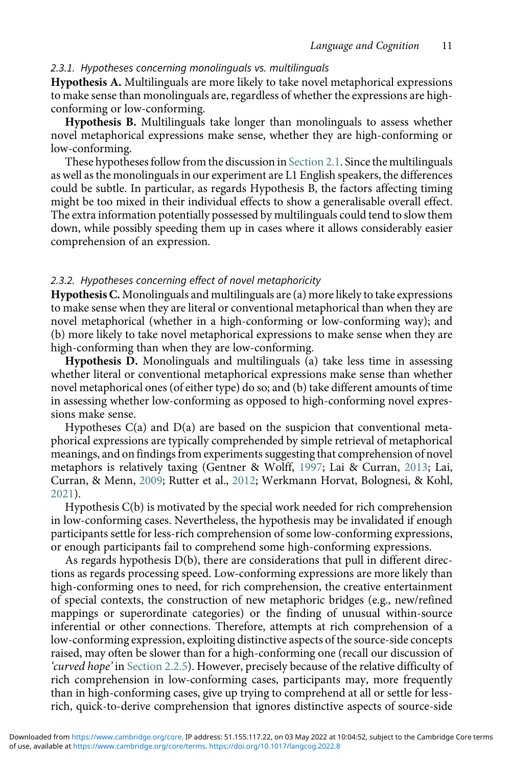#### 2.3.1. Hypotheses concerning monolinguals vs. multilinguals

Hypothesis A. Multilinguals are more likely to take novel metaphorical expressions to make sense than monolinguals are, regardless of whether the expressions are highconforming or low-conforming.

Hypothesis B. Multilinguals take longer than monolinguals to assess whether novel metaphorical expressions make sense, whether they are high-conforming or low-conforming.

These hypotheses follow from the discussion in Section 2.1. Since the multilinguals as well as the monolinguals in our experiment are L1 English speakers, the differences could be subtle. In particular, as regards Hypothesis B, the factors affecting timing might be too mixed in their individual effects to show a generalisable overall effect. The extra information potentially possessed by multilinguals could tend to slow them down, while possibly speeding them up in cases where it allows considerably easier comprehension of an expression.

#### 2.3.2. Hypotheses concerning effect of novel metaphoricity

Hypothesis C. Monolinguals and multilinguals are (a) more likely to take expressions to make sense when they are literal or conventional metaphorical than when they are novel metaphorical (whether in a high-conforming or low-conforming way); and (b) more likely to take novel metaphorical expressions to make sense when they are high-conforming than when they are low-conforming.

Hypothesis D. Monolinguals and multilinguals (a) take less time in assessing whether literal or conventional metaphorical expressions make sense than whether novel metaphorical ones (of either type) do so; and (b) take different amounts of time in assessing whether low-conforming as opposed to high-conforming novel expressions make sense.

Hypotheses  $C(a)$  and  $D(a)$  are based on the suspicion that conventional metaphorical expressions are typically comprehended by simple retrieval of metaphorical meanings, and on findings from experiments suggesting that comprehension of novel metaphors is relatively taxing (Gentner & Wolff, [1997;](#page-34-11) Lai & Curran, [2013;](#page-34-19) Lai, Curran, & Menn, [2009;](#page-34-20) Rutter et al., [2012](#page-35-18); Werkmann Horvat, Bolognesi, & Kohl, [2021](#page-35-12)).

Hypothesis C(b) is motivated by the special work needed for rich comprehension in low-conforming cases. Nevertheless, the hypothesis may be invalidated if enough participants settle for less-rich comprehension of some low-conforming expressions, or enough participants fail to comprehend some high-conforming expressions.

As regards hypothesis D(b), there are considerations that pull in different directions as regards processing speed. Low-conforming expressions are more likely than high-conforming ones to need, for rich comprehension, the creative entertainment of special contexts, the construction of new metaphoric bridges (e.g., new/refined mappings or superordinate categories) or the finding of unusual within-source inferential or other connections. Therefore, attempts at rich comprehension of a low-conforming expression, exploiting distinctive aspects of the source-side concepts raised, may often be slower than for a high-conforming one (recall our discussion of 'curved hope' in Section 2.2.5). However, precisely because of the relative difficulty of rich comprehension in low-conforming cases, participants may, more frequently than in high-conforming cases, give up trying to comprehend at all or settle for lessrich, quick-to-derive comprehension that ignores distinctive aspects of source-side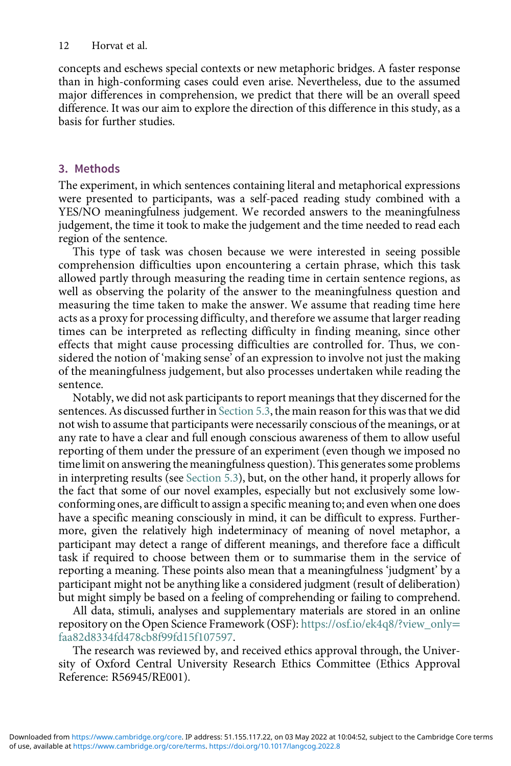concepts and eschews special contexts or new metaphoric bridges. A faster response than in high-conforming cases could even arise. Nevertheless, due to the assumed major differences in comprehension, we predict that there will be an overall speed difference. It was our aim to explore the direction of this difference in this study, as a basis for further studies.

# 3. Methods

The experiment, in which sentences containing literal and metaphorical expressions were presented to participants, was a self-paced reading study combined with a YES/NO meaningfulness judgement. We recorded answers to the meaningfulness judgement, the time it took to make the judgement and the time needed to read each region of the sentence.

This type of task was chosen because we were interested in seeing possible comprehension difficulties upon encountering a certain phrase, which this task allowed partly through measuring the reading time in certain sentence regions, as well as observing the polarity of the answer to the meaningfulness question and measuring the time taken to make the answer. We assume that reading time here acts as a proxy for processing difficulty, and therefore we assume that larger reading times can be interpreted as reflecting difficulty in finding meaning, since other effects that might cause processing difficulties are controlled for. Thus, we considered the notion of 'making sense' of an expression to involve not just the making of the meaningfulness judgement, but also processes undertaken while reading the sentence.

Notably, we did not ask participants to report meanings that they discerned for the sentences. As discussed further in Section 5.3, the main reason for this was that we did not wish to assume that participants were necessarily conscious of the meanings, or at any rate to have a clear and full enough conscious awareness of them to allow useful reporting of them under the pressure of an experiment (even though we imposed no time limit on answering the meaningfulness question). This generates some problems in interpreting results (see Section 5.3), but, on the other hand, it properly allows for the fact that some of our novel examples, especially but not exclusively some lowconforming ones, are difficult to assign a specific meaning to; and even when one does have a specific meaning consciously in mind, it can be difficult to express. Furthermore, given the relatively high indeterminacy of meaning of novel metaphor, a participant may detect a range of different meanings, and therefore face a difficult task if required to choose between them or to summarise them in the service of reporting a meaning. These points also mean that a meaningfulness 'judgment' by a participant might not be anything like a considered judgment (result of deliberation) but might simply be based on a feeling of comprehending or failing to comprehend.

All data, stimuli, analyses and supplementary materials are stored in an online repository on the Open Science Framework (OSF): [https://osf.io/ek4q8/?view\\_only](https://osf.io/ek4q8/?view_onlyfaa82d8334fd478cb8f99fd15f107597)= [faa82d8334fd478cb8f99fd15f107597](https://osf.io/ek4q8/?view_onlyfaa82d8334fd478cb8f99fd15f107597).

The research was reviewed by, and received ethics approval through, the University of Oxford Central University Research Ethics Committee (Ethics Approval Reference: R56945/RE001).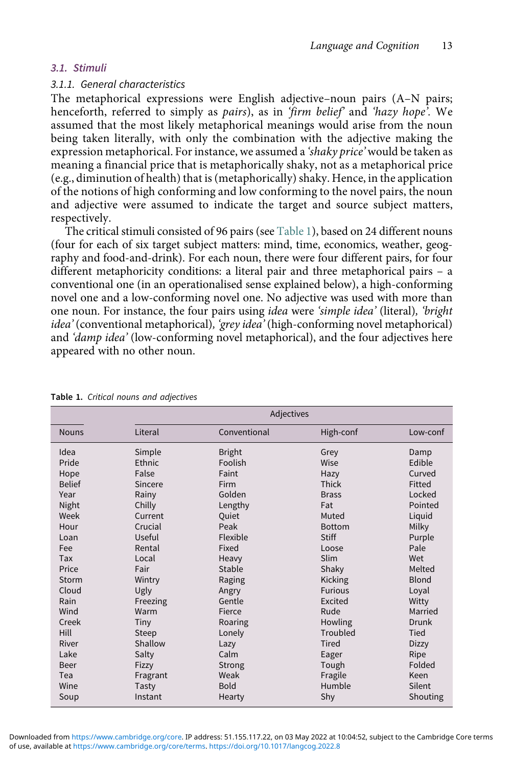# 3.1. Stimuli

#### 3.1.1. General characteristics

The metaphorical expressions were English adjective–noun pairs (A–N pairs; henceforth, referred to simply as pairs), as in 'firm belief' and 'hazy hope'. We assumed that the most likely metaphorical meanings would arise from the noun being taken literally, with only the combination with the adjective making the expression metaphorical. For instance, we assumed a 'shaky price' would be taken as meaning a financial price that is metaphorically shaky, not as a metaphorical price (e.g., diminution of health) that is (metaphorically) shaky. Hence, in the application of the notions of high conforming and low conforming to the novel pairs, the noun and adjective were assumed to indicate the target and source subject matters, respectively.

The critical stimuli consisted of 96 pairs (see [Table 1\)](#page-13-0), based on 24 different nouns (four for each of six target subject matters: mind, time, economics, weather, geography and food-and-drink). For each noun, there were four different pairs, for four different metaphoricity conditions: a literal pair and three metaphorical pairs – a conventional one (in an operationalised sense explained below), a high-conforming novel one and a low-conforming novel one. No adjective was used with more than one noun. For instance, the four pairs using idea were 'simple idea' (literal), 'bright idea' (conventional metaphorical), 'grey idea' (high-conforming novel metaphorical) and 'damp idea' (low-conforming novel metaphorical), and the four adjectives here appeared with no other noun.

|               |          | Adjectives    |                |              |  |
|---------------|----------|---------------|----------------|--------------|--|
| <b>Nouns</b>  | Literal  | Conventional  | High-conf      | Low-conf     |  |
| Idea          | Simple   | <b>Bright</b> | Grey           | Damp         |  |
| Pride         | Ethnic   | Foolish       | Wise           | Edible       |  |
| Hope          | False    | Faint         | Hazy           | Curved       |  |
| <b>Belief</b> | Sincere  | Firm          | Thick          | Fitted       |  |
| Year          | Rainy    | Golden        | <b>Brass</b>   | Locked       |  |
| Night         | Chilly   | Lengthy       | Fat            | Pointed      |  |
| Week          | Current  | Ouiet         | Muted          | Liquid       |  |
| Hour          | Crucial  | Peak          | <b>Bottom</b>  | Milky        |  |
| Loan          | Useful   | Flexible      | <b>Stiff</b>   | Purple       |  |
| Fee           | Rental   | Fixed         | Loose          | Pale         |  |
| Tax           | Local    | Heavy         | Slim           | Wet          |  |
| Price         | Fair     | Stable        | Shaky          | Melted       |  |
| Storm         | Wintry   | Raging        | Kicking        | Blond        |  |
| Cloud         | Ugly     | Angry         | <b>Furious</b> | Loyal        |  |
| Rain          | Freezing | Gentle        | Excited        | Witty        |  |
| Wind          | Warm     | Fierce        | Rude           | Married      |  |
| Creek         | Tiny     | Roaring       | Howling        | Drunk        |  |
| Hill          | Steep    | Lonely        | Troubled       | Tied         |  |
| River         | Shallow  | Lazy          | <b>Tired</b>   | <b>Dizzy</b> |  |
| Lake          | Salty    | Calm          | Eager          | Ripe         |  |
| Beer          | Fizzy    | Strong        | Tough          | Folded       |  |
| Tea           | Fragrant | Weak          | Fragile        | Keen         |  |
| Wine          | Tasty    | <b>Bold</b>   | Humble         | Silent       |  |
| Soup          | Instant  | Hearty        | Shy            | Shouting     |  |

<span id="page-13-0"></span>Table 1. Critical nouns and adjectives

of use, available at <https://www.cambridge.org/core/terms>.<https://doi.org/10.1017/langcog.2022.8> Downloaded from<https://www.cambridge.org/core>. IP address: 51.155.117.22, on 03 May 2022 at 10:04:52, subject to the Cambridge Core terms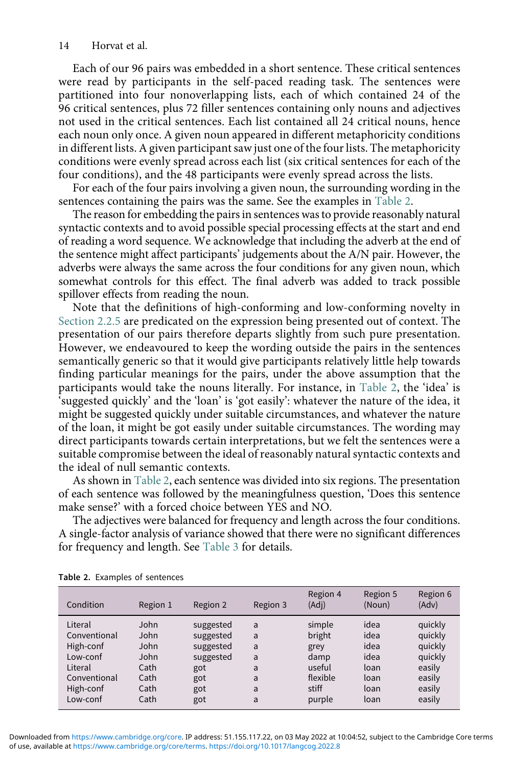Each of our 96 pairs was embedded in a short sentence. These critical sentences were read by participants in the self-paced reading task. The sentences were partitioned into four nonoverlapping lists, each of which contained 24 of the 96 critical sentences, plus 72 filler sentences containing only nouns and adjectives not used in the critical sentences. Each list contained all 24 critical nouns, hence each noun only once. A given noun appeared in different metaphoricity conditions in different lists. A given participant saw just one of the four lists. The metaphoricity conditions were evenly spread across each list (six critical sentences for each of the four conditions), and the 48 participants were evenly spread across the lists.

For each of the four pairs involving a given noun, the surrounding wording in the sentences containing the pairs was the same. See the examples in [Table 2](#page-14-0).

The reason for embedding the pairs in sentences was to provide reasonably natural syntactic contexts and to avoid possible special processing effects at the start and end of reading a word sequence. We acknowledge that including the adverb at the end of the sentence might affect participants' judgements about the A/N pair. However, the adverbs were always the same across the four conditions for any given noun, which somewhat controls for this effect. The final adverb was added to track possible spillover effects from reading the noun.

Note that the definitions of high-conforming and low-conforming novelty in Section 2.2.5 are predicated on the expression being presented out of context. The presentation of our pairs therefore departs slightly from such pure presentation. However, we endeavoured to keep the wording outside the pairs in the sentences semantically generic so that it would give participants relatively little help towards finding particular meanings for the pairs, under the above assumption that the participants would take the nouns literally. For instance, in [Table 2,](#page-14-0) the 'idea' is 'suggested quickly' and the 'loan' is 'got easily': whatever the nature of the idea, it might be suggested quickly under suitable circumstances, and whatever the nature of the loan, it might be got easily under suitable circumstances. The wording may direct participants towards certain interpretations, but we felt the sentences were a suitable compromise between the ideal of reasonably natural syntactic contexts and the ideal of null semantic contexts.

As shown in [Table 2,](#page-14-0) each sentence was divided into six regions. The presentation of each sentence was followed by the meaningfulness question, 'Does this sentence make sense?' with a forced choice between YES and NO.

The adjectives were balanced for frequency and length across the four conditions. A single-factor analysis of variance showed that there were no significant differences for frequency and length. See [Table 3](#page-15-0) for details.

| Condition    | Region 1 | Region 2  | Region 3 | Region 4<br>(Adj) | Region 5<br>(Noun) | Region 6<br>(Adv) |
|--------------|----------|-----------|----------|-------------------|--------------------|-------------------|
| Literal      | John     | suggested | a        | simple            | idea               | quickly           |
| Conventional | John     | suggested | a        | bright            | idea               | quickly           |
| High-conf    | John     | suggested | a        | grey              | idea               | quickly           |
| Low-conf     | John     | suggested | a        | damp              | idea               | quickly           |
| Literal      | Cath     | got       | a        | useful            | loan               | easily            |
| Conventional | Cath     | got       | a        | flexible          | loan               | easily            |
| High-conf    | Cath     | got       | a        | stiff             | loan               | easily            |
| Low-conf     | Cath     | got       | a        | purple            | loan               | easily            |

<span id="page-14-0"></span>Table 2. Examples of sentences

of use, available at <https://www.cambridge.org/core/terms>.<https://doi.org/10.1017/langcog.2022.8> Downloaded from<https://www.cambridge.org/core>. IP address: 51.155.117.22, on 03 May 2022 at 10:04:52, subject to the Cambridge Core terms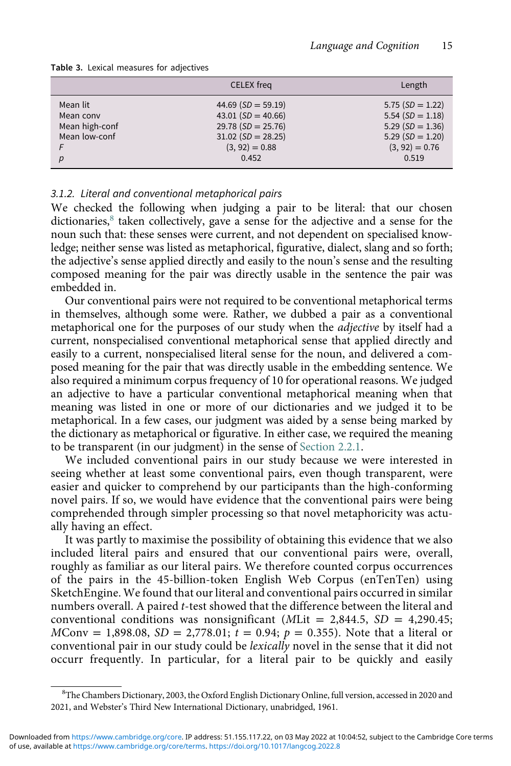|                | <b>CELEX</b> freq    | Length             |
|----------------|----------------------|--------------------|
| Mean lit       | 44.69 $(SD = 59.19)$ | $5.75(SD = 1.22)$  |
| Mean conv      | 43.01 $(SD = 40.66)$ | 5.54 $(SD = 1.18)$ |
| Mean high-conf | $29.78(SD = 25.76)$  | $5.29(SD = 1.36)$  |
| Mean low-conf  | $31.02(SD = 28.25)$  | $5.29(SD = 1.20)$  |
|                | $(3, 92) = 0.88$     | $(3, 92) = 0.76$   |
| p              | 0.452                | 0.519              |

<span id="page-15-0"></span>Table 3. Lexical measures for adjectives

#### 3.1.2. Literal and conventional metaphorical pairs

We checked the following when judging a pair to be literal: that our chosen dictionaries, $8$  taken collectively, gave a sense for the adjective and a sense for the noun such that: these senses were current, and not dependent on specialised knowledge; neither sense was listed as metaphorical, figurative, dialect, slang and so forth; the adjective's sense applied directly and easily to the noun's sense and the resulting composed meaning for the pair was directly usable in the sentence the pair was embedded in.

Our conventional pairs were not required to be conventional metaphorical terms in themselves, although some were. Rather, we dubbed a pair as a conventional metaphorical one for the purposes of our study when the *adjective* by itself had a current, nonspecialised conventional metaphorical sense that applied directly and easily to a current, nonspecialised literal sense for the noun, and delivered a composed meaning for the pair that was directly usable in the embedding sentence. We also required a minimum corpus frequency of 10 for operational reasons. We judged an adjective to have a particular conventional metaphorical meaning when that meaning was listed in one or more of our dictionaries and we judged it to be metaphorical. In a few cases, our judgment was aided by a sense being marked by the dictionary as metaphorical or figurative. In either case, we required the meaning to be transparent (in our judgment) in the sense of Section 2.2.1.

We included conventional pairs in our study because we were interested in seeing whether at least some conventional pairs, even though transparent, were easier and quicker to comprehend by our participants than the high-conforming novel pairs. If so, we would have evidence that the conventional pairs were being comprehended through simpler processing so that novel metaphoricity was actually having an effect.

It was partly to maximise the possibility of obtaining this evidence that we also included literal pairs and ensured that our conventional pairs were, overall, roughly as familiar as our literal pairs. We therefore counted corpus occurrences of the pairs in the 45-billion-token English Web Corpus (enTenTen) using SketchEngine. We found that our literal and conventional pairs occurred in similar numbers overall. A paired t-test showed that the difference between the literal and conventional conditions was nonsignificant (MLit = 2,844.5,  $SD = 4,290.45$ ;  $MCony = 1,898.08, SD = 2,778.01; t = 0.94; p = 0.355$ . Note that a literal or conventional pair in our study could be lexically novel in the sense that it did not occurr frequently. In particular, for a literal pair to be quickly and easily

<span id="page-15-1"></span><sup>&</sup>lt;sup>8</sup>The Chambers Dictionary, 2003, the Oxford English Dictionary Online, full version, accessed in 2020 and 2021, and Webster's Third New International Dictionary, unabridged, 1961.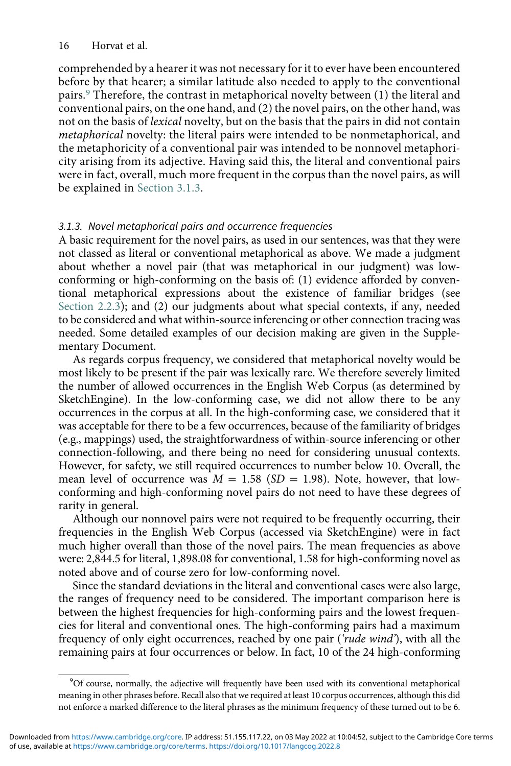comprehended by a hearer it was not necessary for it to ever have been encountered before by that hearer; a similar latitude also needed to apply to the conventional pairs.[9](#page-16-0) Therefore, the contrast in metaphorical novelty between (1) the literal and conventional pairs, on the one hand, and (2) the novel pairs, on the other hand, was not on the basis of lexical novelty, but on the basis that the pairs in did not contain metaphorical novelty: the literal pairs were intended to be nonmetaphorical, and the metaphoricity of a conventional pair was intended to be nonnovel metaphoricity arising from its adjective. Having said this, the literal and conventional pairs were in fact, overall, much more frequent in the corpus than the novel pairs, as will be explained in Section 3.1.3.

### 3.1.3. Novel metaphorical pairs and occurrence frequencies

A basic requirement for the novel pairs, as used in our sentences, was that they were not classed as literal or conventional metaphorical as above. We made a judgment about whether a novel pair (that was metaphorical in our judgment) was lowconforming or high-conforming on the basis of: (1) evidence afforded by conventional metaphorical expressions about the existence of familiar bridges (see Section 2.2.3); and (2) our judgments about what special contexts, if any, needed to be considered and what within-source inferencing or other connection tracing was needed. Some detailed examples of our decision making are given in the Supplementary Document.

As regards corpus frequency, we considered that metaphorical novelty would be most likely to be present if the pair was lexically rare. We therefore severely limited the number of allowed occurrences in the English Web Corpus (as determined by SketchEngine). In the low-conforming case, we did not allow there to be any occurrences in the corpus at all. In the high-conforming case, we considered that it was acceptable for there to be a few occurrences, because of the familiarity of bridges (e.g., mappings) used, the straightforwardness of within-source inferencing or other connection-following, and there being no need for considering unusual contexts. However, for safety, we still required occurrences to number below 10. Overall, the mean level of occurrence was  $M = 1.58$  (SD = 1.98). Note, however, that lowconforming and high-conforming novel pairs do not need to have these degrees of rarity in general.

Although our nonnovel pairs were not required to be frequently occurring, their frequencies in the English Web Corpus (accessed via SketchEngine) were in fact much higher overall than those of the novel pairs. The mean frequencies as above were: 2,844.5 for literal, 1,898.08 for conventional, 1.58 for high-conforming novel as noted above and of course zero for low-conforming novel.

Since the standard deviations in the literal and conventional cases were also large, the ranges of frequency need to be considered. The important comparison here is between the highest frequencies for high-conforming pairs and the lowest frequencies for literal and conventional ones. The high-conforming pairs had a maximum frequency of only eight occurrences, reached by one pair ('rude wind'), with all the remaining pairs at four occurrences or below. In fact, 10 of the 24 high-conforming

<span id="page-16-0"></span><sup>&</sup>lt;sup>9</sup>Of course, normally, the adjective will frequently have been used with its conventional metaphorical meaning in other phrases before. Recall also that we required at least 10 corpus occurrences, although this did not enforce a marked difference to the literal phrases as the minimum frequency of these turned out to be 6.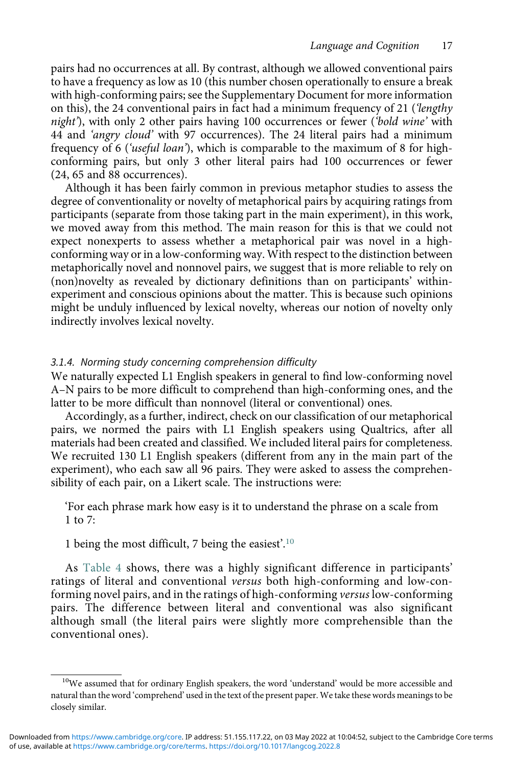pairs had no occurrences at all. By contrast, although we allowed conventional pairs to have a frequency as low as 10 (this number chosen operationally to ensure a break with high-conforming pairs; see the Supplementary Document for more information on this), the 24 conventional pairs in fact had a minimum frequency of 21 (*'lengthy* night'), with only 2 other pairs having 100 occurrences or fewer ('bold wine' with 44 and 'angry cloud' with 97 occurrences). The 24 literal pairs had a minimum frequency of 6 ('useful loan'), which is comparable to the maximum of 8 for highconforming pairs, but only 3 other literal pairs had 100 occurrences or fewer (24, 65 and 88 occurrences).

Although it has been fairly common in previous metaphor studies to assess the degree of conventionality or novelty of metaphorical pairs by acquiring ratings from participants (separate from those taking part in the main experiment), in this work, we moved away from this method. The main reason for this is that we could not expect nonexperts to assess whether a metaphorical pair was novel in a highconforming way or in a low-conforming way. With respect to the distinction between metaphorically novel and nonnovel pairs, we suggest that is more reliable to rely on (non)novelty as revealed by dictionary definitions than on participants' withinexperiment and conscious opinions about the matter. This is because such opinions might be unduly influenced by lexical novelty, whereas our notion of novelty only indirectly involves lexical novelty.

#### 3.1.4. Norming study concerning comprehension difficulty

We naturally expected L1 English speakers in general to find low-conforming novel A–N pairs to be more difficult to comprehend than high-conforming ones, and the latter to be more difficult than nonnovel (literal or conventional) ones.

Accordingly, as a further, indirect, check on our classification of our metaphorical pairs, we normed the pairs with L1 English speakers using Qualtrics, after all materials had been created and classified. We included literal pairs for completeness. We recruited 130 L1 English speakers (different from any in the main part of the experiment), who each saw all 96 pairs. They were asked to assess the comprehensibility of each pair, on a Likert scale. The instructions were:

'For each phrase mark how easy is it to understand the phrase on a scale from 1 to 7:

1 being the most difficult, 7 being the easiest'. [10](#page-17-0)

As [Table 4](#page-18-0) shows, there was a highly significant difference in participants' ratings of literal and conventional versus both high-conforming and low-conforming novel pairs, and in the ratings of high-conforming versus low-conforming pairs. The difference between literal and conventional was also significant although small (the literal pairs were slightly more comprehensible than the conventional ones).

<span id="page-17-0"></span><sup>&</sup>lt;sup>10</sup>We assumed that for ordinary English speakers, the word 'understand' would be more accessible and natural than the word 'comprehend' used in the text of the present paper. We take these words meanings to be closely similar.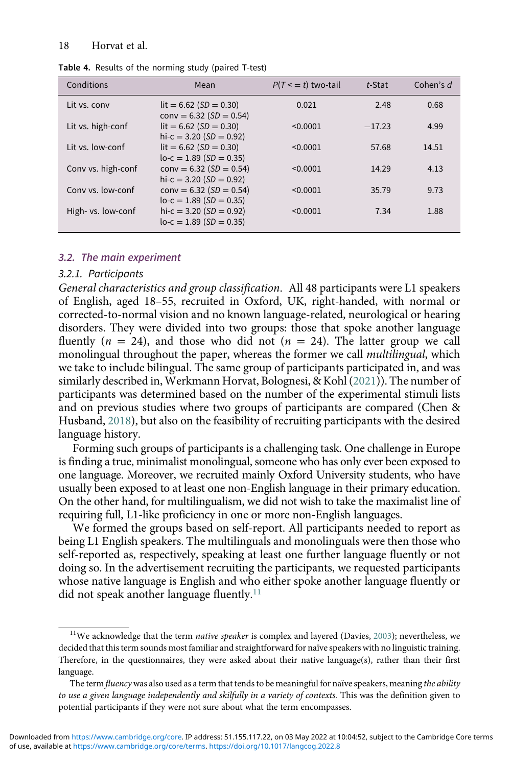| Conditions         | Mean                                                   | $P(T \le t)$ two-tail | t-Stat   | Cohen's d |
|--------------------|--------------------------------------------------------|-----------------------|----------|-----------|
| Lit vs. conv       | $lit = 6.62 (SD = 0.30)$<br>$conv = 6.32 (SD = 0.54)$  | 0.021                 | 2.48     | 0.68      |
| Lit vs. high-conf  | $lit = 6.62 (SD = 0.30)$<br>hi-c = $3.20(SD = 0.92)$   | < 0.0001              | $-17.23$ | 4.99      |
| Lit vs. low-conf   | $lit = 6.62 (SD = 0.30)$<br>$lo-c = 1.89 (SD = 0.35)$  | < 0.0001              | 57.68    | 14.51     |
| Conv vs. high-conf | $conv = 6.32 (SD = 0.54)$<br>hi-c = $3.20$ (SD = 0.92) | < 0.0001              | 14.29    | 4.13      |
| Conv vs. low-conf  | $conv = 6.32 (SD = 0.54)$<br>$lo-c = 1.89 (SD = 0.35)$ | < 0.0001              | 35.79    | 9.73      |
| High- vs. low-conf | hi-c = $3.20(SD = 0.92)$<br>$lo-c = 1.89 (SD = 0.35)$  | < 0.0001              | 7.34     | 1.88      |

<span id="page-18-0"></span>Table 4. Results of the norming study (paired T-test)

#### 3.2. The main experiment

#### 3.2.1. Participants

General characteristics and group classification. All 48 participants were L1 speakers of English, aged 18–55, recruited in Oxford, UK, right-handed, with normal or corrected-to-normal vision and no known language-related, neurological or hearing disorders. They were divided into two groups: those that spoke another language fluently ( $n = 24$ ), and those who did not ( $n = 24$ ). The latter group we call monolingual throughout the paper, whereas the former we call *multilingual*, which we take to include bilingual. The same group of participants participated in, and was similarly described in, Werkmann Horvat, Bolognesi, & Kohl ([2021](#page-35-12))). The number of participants was determined based on the number of the experimental stimuli lists and on previous studies where two groups of participants are compared (Chen & Husband, [2018](#page-34-21)), but also on the feasibility of recruiting participants with the desired language history.

Forming such groups of participants is a challenging task. One challenge in Europe is finding a true, minimalist monolingual, someone who has only ever been exposed to one language. Moreover, we recruited mainly Oxford University students, who have usually been exposed to at least one non-English language in their primary education. On the other hand, for multilingualism, we did not wish to take the maximalist line of requiring full, L1-like proficiency in one or more non-English languages.

We formed the groups based on self-report. All participants needed to report as being L1 English speakers. The multilinguals and monolinguals were then those who self-reported as, respectively, speaking at least one further language fluently or not doing so. In the advertisement recruiting the participants, we requested participants whose native language is English and who either spoke another language fluently or did not speak another language fluently.<sup>[11](#page-18-1)</sup>

<span id="page-18-1"></span><sup>&</sup>lt;sup>11</sup>We acknowledge that the term *native speaker* is complex and layered (Davies, [2003](#page-34-22)); nevertheless, we decided that this term sounds most familiar and straightforward for naïve speakers with no linguistic training. Therefore, in the questionnaires, they were asked about their native language(s), rather than their first language.

The term fluency was also used as a term that tends to be meaningful for naïve speakers, meaning the ability to use a given language independently and skilfully in a variety of contexts. This was the definition given to potential participants if they were not sure about what the term encompasses.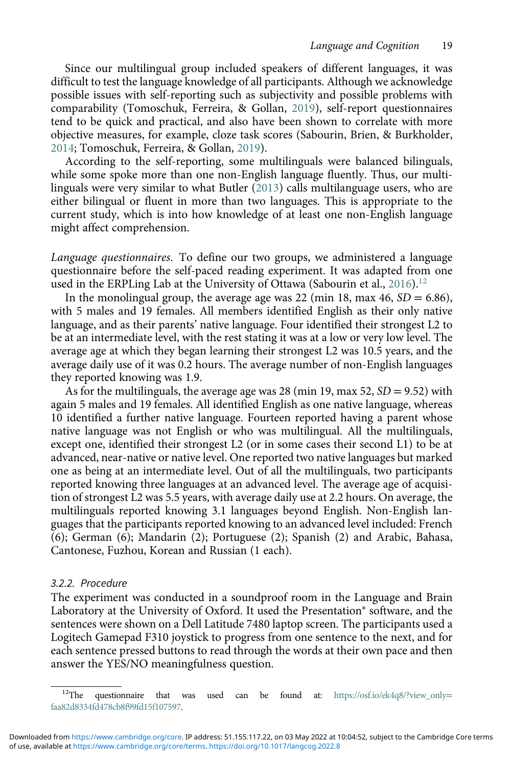Since our multilingual group included speakers of different languages, it was difficult to test the language knowledge of all participants. Although we acknowledge possible issues with self-reporting such as subjectivity and possible problems with comparability (Tomoschuk, Ferreira, & Gollan, [2019\)](#page-35-19), self-report questionnaires tend to be quick and practical, and also have been shown to correlate with more objective measures, for example, cloze task scores (Sabourin, Brien, & Burkholder, [2014](#page-35-20); Tomoschuk, Ferreira, & Gollan, [2019\)](#page-35-19).

According to the self-reporting, some multilinguals were balanced bilinguals, while some spoke more than one non-English language fluently. Thus, our multilinguals were very similar to what Butler ([2013](#page-33-21)) calls multilanguage users, who are either bilingual or fluent in more than two languages. This is appropriate to the current study, which is into how knowledge of at least one non-English language might affect comprehension.

Language questionnaires. To define our two groups, we administered a language questionnaire before the self-paced reading experiment. It was adapted from one used in the ERPLing Lab at the University of Ottawa (Sabourin et al., [2016](#page-35-21)).<sup>[12](#page-19-0)</sup>

In the monolingual group, the average age was 22 (min 18, max 46,  $SD = 6.86$ ), with 5 males and 19 females. All members identified English as their only native language, and as their parents' native language. Four identified their strongest L2 to be at an intermediate level, with the rest stating it was at a low or very low level. The average age at which they began learning their strongest L2 was 10.5 years, and the average daily use of it was 0.2 hours. The average number of non-English languages they reported knowing was 1.9.

As for the multilinguals, the average age was 28 (min 19, max 52,  $SD = 9.52$ ) with again 5 males and 19 females. All identified English as one native language, whereas 10 identified a further native language. Fourteen reported having a parent whose native language was not English or who was multilingual. All the multilinguals, except one, identified their strongest L2 (or in some cases their second L1) to be at advanced, near-native or native level. One reported two native languages but marked one as being at an intermediate level. Out of all the multilinguals, two participants reported knowing three languages at an advanced level. The average age of acquisition of strongest L2 was 5.5 years, with average daily use at 2.2 hours. On average, the multilinguals reported knowing 3.1 languages beyond English. Non-English languages that the participants reported knowing to an advanced level included: French (6); German (6); Mandarin (2); Portuguese (2); Spanish (2) and Arabic, Bahasa, Cantonese, Fuzhou, Korean and Russian (1 each).

#### 3.2.2. Procedure

The experiment was conducted in a soundproof room in the Language and Brain Laboratory at the University of Oxford. It used the Presentation® software, and the sentences were shown on a Dell Latitude 7480 laptop screen. The participants used a Logitech Gamepad F310 joystick to progress from one sentence to the next, and for each sentence pressed buttons to read through the words at their own pace and then answer the YES/NO meaningfulness question.

<sup>&</sup>lt;sup>12</sup>The questionnaire that was used can be found at: [https://osf.io/ek4q8/?view\\_only](https://osf.io/ek4q8/?view_onlyfaa82d8334fd478cb8f99fd15f107597)= [faa82d8334fd478cb8f99fd15f107597.](https://osf.io/ek4q8/?view_onlyfaa82d8334fd478cb8f99fd15f107597)

<span id="page-19-0"></span>of use, available at <https://www.cambridge.org/core/terms>.<https://doi.org/10.1017/langcog.2022.8> Downloaded from<https://www.cambridge.org/core>. IP address: 51.155.117.22, on 03 May 2022 at 10:04:52, subject to the Cambridge Core terms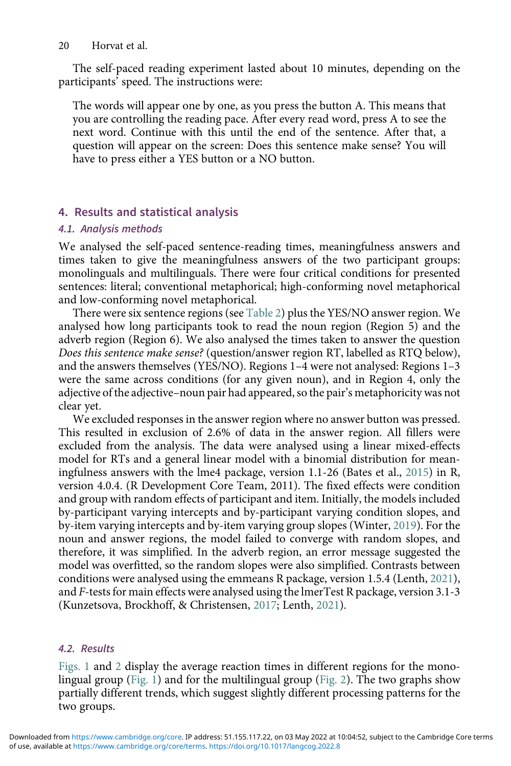The self-paced reading experiment lasted about 10 minutes, depending on the participants' speed. The instructions were:

The words will appear one by one, as you press the button A. This means that you are controlling the reading pace. After every read word, press A to see the next word. Continue with this until the end of the sentence. After that, a question will appear on the screen: Does this sentence make sense? You will have to press either a YES button or a NO button.

# 4. Results and statistical analysis

# 4.1. Analysis methods

We analysed the self-paced sentence-reading times, meaningfulness answers and times taken to give the meaningfulness answers of the two participant groups: monolinguals and multilinguals. There were four critical conditions for presented sentences: literal; conventional metaphorical; high-conforming novel metaphorical and low-conforming novel metaphorical.

There were six sentence regions (see [Table 2\)](#page-14-0) plus the YES/NO answer region. We analysed how long participants took to read the noun region (Region 5) and the adverb region (Region 6). We also analysed the times taken to answer the question Does this sentence make sense? (question/answer region RT, labelled as RTQ below), and the answers themselves (YES/NO). Regions 1–4 were not analysed: Regions 1–3 were the same across conditions (for any given noun), and in Region 4, only the adjective of the adjective–noun pair had appeared, so the pair's metaphoricity was not clear yet.

We excluded responses in the answer region where no answer button was pressed. This resulted in exclusion of 2.6% of data in the answer region. All fillers were excluded from the analysis. The data were analysed using a linear mixed-effects model for RTs and a general linear model with a binomial distribution for meaningfulness answers with the lme4 package, version 1.1-26 (Bates et al., [2015](#page-33-22)) in R, version 4.0.4. (R Development Core Team, 2011). The fixed effects were condition and group with random effects of participant and item. Initially, the models included by-participant varying intercepts and by-participant varying condition slopes, and by-item varying intercepts and by-item varying group slopes (Winter, [2019](#page-36-3)). For the noun and answer regions, the model failed to converge with random slopes, and therefore, it was simplified. In the adverb region, an error message suggested the model was overfitted, so the random slopes were also simplified. Contrasts between conditions were analysed using the emmeans R package, version 1.5.4 (Lenth, [2021](#page-35-22)), and F-tests for main effects were analysed using the lmerTest R package, version 3.1-3 (Kunzetsova, Brockhoff, & Christensen, [2017](#page-34-23); Lenth, [2021](#page-35-22)).

# 4.2. Results

[Figs. 1](#page-21-0) and [2](#page-21-1) display the average reaction times in different regions for the monolingual group [\(Fig. 1\)](#page-21-0) and for the multilingual group [\(Fig. 2\)](#page-21-1). The two graphs show partially different trends, which suggest slightly different processing patterns for the two groups.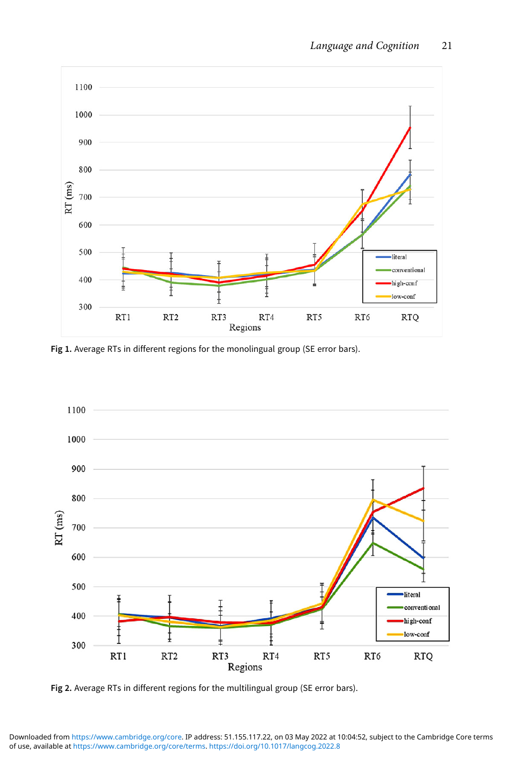<span id="page-21-0"></span>

Fig 1. Average RTs in different regions for the monolingual group (SE error bars).

<span id="page-21-1"></span>

Fig 2. Average RTs in different regions for the multilingual group (SE error bars).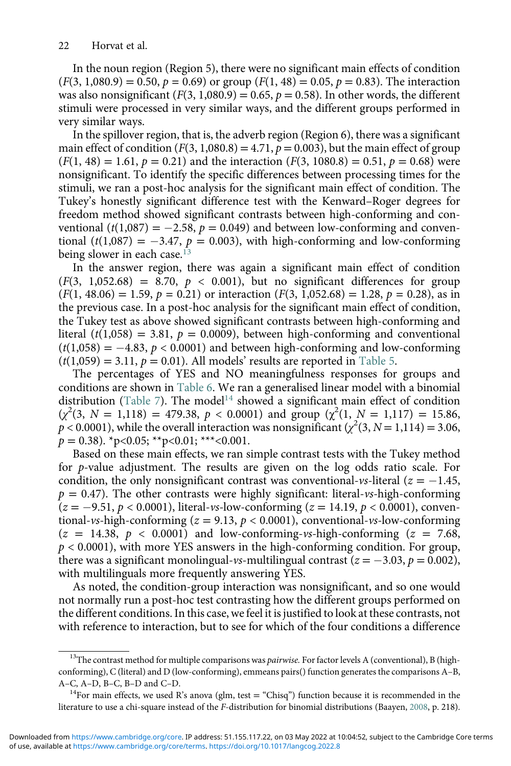In the noun region (Region 5), there were no significant main effects of condition  $(F(3, 1,080.9) = 0.50, p = 0.69)$  or group  $(F(1, 48) = 0.05, p = 0.83)$ . The interaction was also nonsignificant  $(F(3, 1,080.9) = 0.65, p = 0.58)$ . In other words, the different stimuli were processed in very similar ways, and the different groups performed in very similar ways.

In the spillover region, that is, the adverb region (Region 6), there was a significant main effect of condition  $(F(3, 1,080.8) = 4.71, p = 0.003)$ , but the main effect of group  $(F(1, 48) = 1.61, p = 0.21)$  and the interaction  $(F(3, 1080.8) = 0.51, p = 0.68)$  were nonsignificant. To identify the specific differences between processing times for the stimuli, we ran a post-hoc analysis for the significant main effect of condition. The Tukey's honestly significant difference test with the Kenward–Roger degrees for freedom method showed significant contrasts between high-conforming and conventional  $(t(1,087) = -2.58, p = 0.049)$  and between low-conforming and conventional (t(1,087) = -3.47,  $p = 0.003$ ), with high-conforming and low-conforming being slower in each case.<sup>[13](#page-22-0)</sup>

In the answer region, there was again a significant main effect of condition  $(F(3, 1,052.68) = 8.70, p < 0.001)$ , but no significant differences for group  $(F(1, 48.06) = 1.59, p = 0.21)$  or interaction  $(F(3, 1, 052.68) = 1.28, p = 0.28)$ , as in the previous case. In a post-hoc analysis for the significant main effect of condition, the Tukey test as above showed significant contrasts between high-conforming and literal ( $t(1,058) = 3.81$ ,  $p = 0.0009$ ), between high-conforming and conventional  $(t(1,058) = -4.83, p < 0.0001)$  and between high-conforming and low-conforming  $(t(1,059) = 3.11, p = 0.01)$ . All models' results are reported in [Table 5.](#page-23-0)

The percentages of YES and NO meaningfulness responses for groups and conditions are shown in [Table 6](#page-24-0). We ran a generalised linear model with a binomial distribution [\(Table 7](#page-24-1)). The model<sup>[14](#page-22-1)</sup> showed a significant main effect of condition  $(\chi^2(3, N = 1,118) = 479.38, p < 0.0001)$  and group  $(\chi^2(1, N = 1,117) = 15.86,$  $p < 0.0001$ ), while the overall interaction was nonsignificant ( $\chi^2(3, N = 1,114) = 3.06$ ,  $p = 0.38$ . \* p<0.05; \* \* p<0.01; \* \* \* <0.001.

Based on these main effects, we ran simple contrast tests with the Tukey method for p-value adjustment. The results are given on the log odds ratio scale. For condition, the only nonsignificant contrast was conventional-vs-literal ( $z = -1.45$ ,  $p = 0.47$ ). The other contrasts were highly significant: literal-vs-high-conforming  $(z = -9.51, p < 0.0001)$ , literal-vs-low-conforming  $(z = 14.19, p < 0.0001)$ , conventional-vs-high-conforming ( $z = 9.13$ ,  $p < 0.0001$ ), conventional-vs-low-conforming  $(z = 14.38, p < 0.0001)$  and low-conforming-vs-high-conforming  $(z = 7.68,$  $p < 0.0001$ ), with more YES answers in the high-conforming condition. For group, there was a significant monolingual-vs-multilingual contrast ( $z = -3.03$ ,  $p = 0.002$ ), with multilinguals more frequently answering YES.

As noted, the condition-group interaction was nonsignificant, and so one would not normally run a post-hoc test contrasting how the different groups performed on the different conditions. In this case, we feel it is justified to look at these contrasts, not with reference to interaction, but to see for which of the four conditions a difference

<span id="page-22-0"></span> $^{13}$ The contrast method for multiple comparisons was pairwise. For factor levels A (conventional), B (highconforming), C (literal) and D (low-conforming), emmeans pairs() function generates the comparisons A–B, A–C, A–D, B–C, B–D and C–D.<br><sup>14</sup>For main effects, we used R's anova (glm, test = "Chisq") function because it is recommended in the

<span id="page-22-1"></span>literature to use a chi-square instead of the F-distribution for binomial distributions (Baayen, [2008,](#page-33-23) p. 218).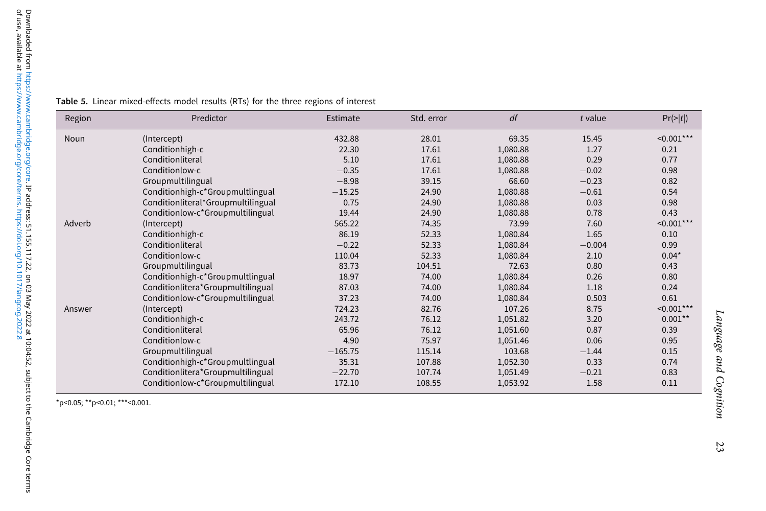| Region | Predictor                          | Estimate  | Std. error | df       | t value  | $Pr(>= t )$      |
|--------|------------------------------------|-----------|------------|----------|----------|------------------|
| Noun   | (Intercept)                        | 432.88    | 28.01      | 69.35    | 15.45    | $\leq 0.001***$  |
|        | Conditionhigh-c                    | 22.30     | 17.61      | 1,080.88 | 1.27     | 0.21             |
|        | Conditionliteral                   | 5.10      | 17.61      | 1,080.88 | 0.29     | 0.77             |
|        | Conditionlow-c                     | $-0.35$   | 17.61      | 1,080.88 | $-0.02$  | 0.98             |
|        | Groupmultilingual                  | $-8.98$   | 39.15      | 66.60    | $-0.23$  | 0.82             |
|        | Conditionhigh-c*Groupmultlingual   | $-15.25$  | 24.90      | 1,080.88 | $-0.61$  | 0.54             |
|        | Conditionliteral*Groupmultilingual | 0.75      | 24.90      | 1,080.88 | 0.03     | 0.98             |
|        | Conditionlow-c*Groupmultilingual   | 19.44     | 24.90      | 1,080.88 | 0.78     | 0.43             |
| Adverb | (Intercept)                        | 565.22    | 74.35      | 73.99    | 7.60     | $\leq 0.001***$  |
|        | Conditionhigh-c                    | 86.19     | 52.33      | 1,080.84 | 1.65     | 0.10             |
|        | Conditionliteral                   | $-0.22$   | 52.33      | 1,080.84 | $-0.004$ | 0.99             |
|        | Conditionlow-c                     | 110.04    | 52.33      | 1,080.84 | 2.10     | $0.04*$          |
|        | Groupmultilingual                  | 83.73     | 104.51     | 72.63    | 0.80     | 0.43             |
|        | Conditionhigh-c*Groupmultlingual   | 18.97     | 74.00      | 1,080.84 | 0.26     | 0.80             |
|        | Conditionlitera*Groupmultilingual  | 87.03     | 74.00      | 1,080.84 | 1.18     | 0.24             |
|        | Conditionlow-c*Groupmultilingual   | 37.23     | 74.00      | 1,080.84 | 0.503    | 0.61             |
| Answer | (Intercept)                        | 724.23    | 82.76      | 107.26   | 8.75     | $\leq 0.001$ *** |
|        | Conditionhigh-c                    | 243.72    | 76.12      | 1,051.82 | 3.20     | $0.001***$       |
|        | Conditionliteral                   | 65.96     | 76.12      | 1,051.60 | 0.87     | 0.39             |
|        | Conditionlow-c                     | 4.90      | 75.97      | 1,051.46 | 0.06     | 0.95             |
|        | Groupmultilingual                  | $-165.75$ | 115.14     | 103.68   | $-1.44$  | 0.15             |
|        | Conditionhigh-c*Groupmultlingual   | 35.31     | 107.88     | 1,052.30 | 0.33     | 0.74             |
|        | Conditionlitera*Groupmultilingual  | $-22.70$  | 107.74     | 1,051.49 | $-0.21$  | 0.83             |
|        | Conditionlow-c*Groupmultilingual   | 172.10    | 108.55     | 1,053.92 | 1.58     | 0.11             |

<span id="page-23-0"></span>Table 5. Linear mixed-effects model results (RTs) for the three regions of interest

 $*p<0.05$ ;  $*p<0.01$ ;  $***<0.001$ .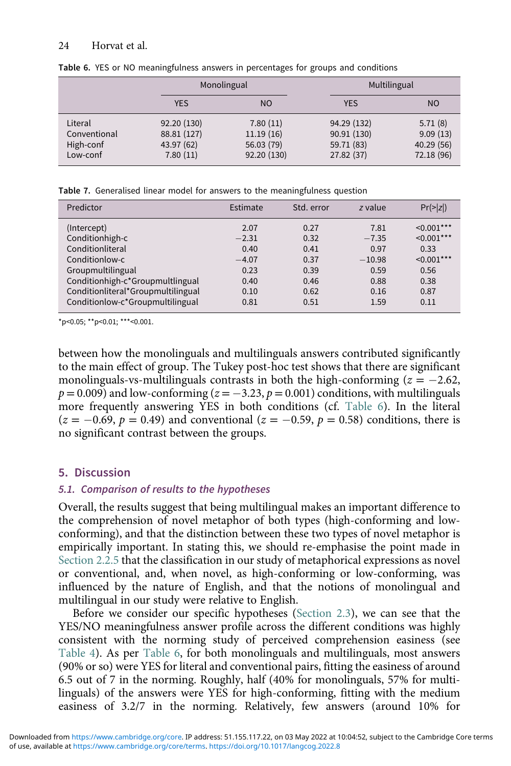|              |             | Monolingual | Multilingual |            |  |
|--------------|-------------|-------------|--------------|------------|--|
|              | <b>YES</b>  | <b>NO</b>   | <b>YES</b>   | <b>NO</b>  |  |
| Literal      | 92.20 (130) | 7.80(11)    | 94.29 (132)  | 5.71(8)    |  |
| Conventional | 88.81 (127) | 11.19(16)   | 90.91(130)   | 9.09(13)   |  |
| High-conf    | 43.97 (62)  | 56.03 (79)  | 59.71 (83)   | 40.29(56)  |  |
| Low-conf     | 7.80(11)    | 92.20 (130) | 27.82 (37)   | 72.18 (96) |  |

<span id="page-24-0"></span>Table 6. YES or NO meaningfulness answers in percentages for groups and conditions

Table 7. Generalised linear model for answers to the meaningfulness question

| Predictor                          | Estimate | Std. error | z value  | $Pr(>= z )$      |
|------------------------------------|----------|------------|----------|------------------|
| (Intercept)                        | 2.07     | 0.27       | 7.81     | $\leq 0.001$ *** |
| Conditionhigh-c                    | $-2.31$  | 0.32       | $-7.35$  | $\leq 0.001$ *** |
| Conditionliteral                   | 0.40     | 0.41       | 0.97     | 0.33             |
| Conditionlow-c                     | $-4.07$  | 0.37       | $-10.98$ | $\leq 0.001$ *** |
| Groupmultilingual                  | 0.23     | 0.39       | 0.59     | 0.56             |
| Conditionhigh-c*Groupmultlingual   | 0.40     | 0.46       | 0.88     | 0.38             |
| Conditionliteral*Groupmultilingual | 0.10     | 0.62       | 0.16     | 0.87             |
| Conditionlow-c*Groupmultilingual   | 0.81     | 0.51       | 1.59     | 0.11             |

<span id="page-24-1"></span>\*p<0.05; \*\*p<0.01; \*\*\*<0.001.

between how the monolinguals and multilinguals answers contributed significantly to the main effect of group. The Tukey post-hoc test shows that there are significant monolinguals-vs-multilinguals contrasts in both the high-conforming ( $z = -2.62$ ,  $p = 0.009$ ) and low-conforming ( $z = -3.23$ ,  $p = 0.001$ ) conditions, with multilinguals more frequently answering YES in both conditions (cf. [Table 6](#page-24-0)). In the literal  $(z = -0.69, p = 0.49)$  and conventional  $(z = -0.59, p = 0.58)$  conditions, there is no significant contrast between the groups.

# 5. Discussion

# 5.1. Comparison of results to the hypotheses

Overall, the results suggest that being multilingual makes an important difference to the comprehension of novel metaphor of both types (high-conforming and lowconforming), and that the distinction between these two types of novel metaphor is empirically important. In stating this, we should re-emphasise the point made in Section 2.2.5 that the classification in our study of metaphorical expressions as novel or conventional, and, when novel, as high-conforming or low-conforming, was influenced by the nature of English, and that the notions of monolingual and multilingual in our study were relative to English.

Before we consider our specific hypotheses (Section 2.3), we can see that the YES/NO meaningfulness answer profile across the different conditions was highly consistent with the norming study of perceived comprehension easiness (see [Table 4](#page-18-0)). As per [Table 6,](#page-24-0) for both monolinguals and multilinguals, most answers (90% or so) were YES for literal and conventional pairs, fitting the easiness of around 6.5 out of 7 in the norming. Roughly, half (40% for monolinguals, 57% for multilinguals) of the answers were YES for high-conforming, fitting with the medium easiness of 3.2/7 in the norming. Relatively, few answers (around 10% for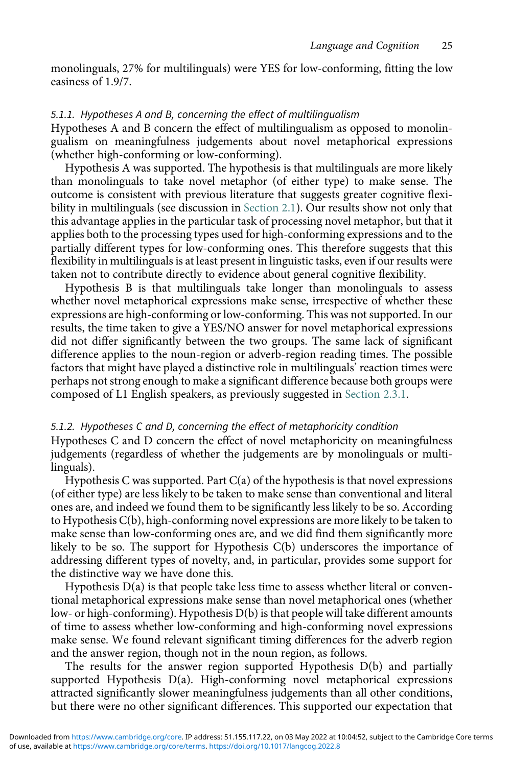monolinguals, 27% for multilinguals) were YES for low-conforming, fitting the low easiness of 1.9/7.

#### 5.1.1. Hypotheses A and B, concerning the effect of multilingualism

Hypotheses A and B concern the effect of multilingualism as opposed to monolingualism on meaningfulness judgements about novel metaphorical expressions (whether high-conforming or low-conforming).

Hypothesis A was supported. The hypothesis is that multilinguals are more likely than monolinguals to take novel metaphor (of either type) to make sense. The outcome is consistent with previous literature that suggests greater cognitive flexibility in multilinguals (see discussion in Section 2.1). Our results show not only that this advantage applies in the particular task of processing novel metaphor, but that it applies both to the processing types used for high-conforming expressions and to the partially different types for low-conforming ones. This therefore suggests that this flexibility in multilinguals is at least present in linguistic tasks, even if our results were taken not to contribute directly to evidence about general cognitive flexibility.

Hypothesis B is that multilinguals take longer than monolinguals to assess whether novel metaphorical expressions make sense, irrespective of whether these expressions are high-conforming or low-conforming. This was not supported. In our results, the time taken to give a YES/NO answer for novel metaphorical expressions did not differ significantly between the two groups. The same lack of significant difference applies to the noun-region or adverb-region reading times. The possible factors that might have played a distinctive role in multilinguals' reaction times were perhaps not strong enough to make a significant difference because both groups were composed of L1 English speakers, as previously suggested in Section 2.3.1.

#### 5.1.2. Hypotheses C and D, concerning the effect of metaphoricity condition

Hypotheses C and D concern the effect of novel metaphoricity on meaningfulness judgements (regardless of whether the judgements are by monolinguals or multilinguals).

Hypothesis C was supported. Part C(a) of the hypothesis is that novel expressions (of either type) are less likely to be taken to make sense than conventional and literal ones are, and indeed we found them to be significantly less likely to be so. According to Hypothesis C(b), high-conforming novel expressions are more likely to be taken to make sense than low-conforming ones are, and we did find them significantly more likely to be so. The support for Hypothesis C(b) underscores the importance of addressing different types of novelty, and, in particular, provides some support for the distinctive way we have done this.

Hypothesis  $D(a)$  is that people take less time to assess whether literal or conventional metaphorical expressions make sense than novel metaphorical ones (whether low- or high-conforming). Hypothesis D(b) is that people will take different amounts of time to assess whether low-conforming and high-conforming novel expressions make sense. We found relevant significant timing differences for the adverb region and the answer region, though not in the noun region, as follows.

The results for the answer region supported Hypothesis D(b) and partially supported Hypothesis D(a). High-conforming novel metaphorical expressions attracted significantly slower meaningfulness judgements than all other conditions, but there were no other significant differences. This supported our expectation that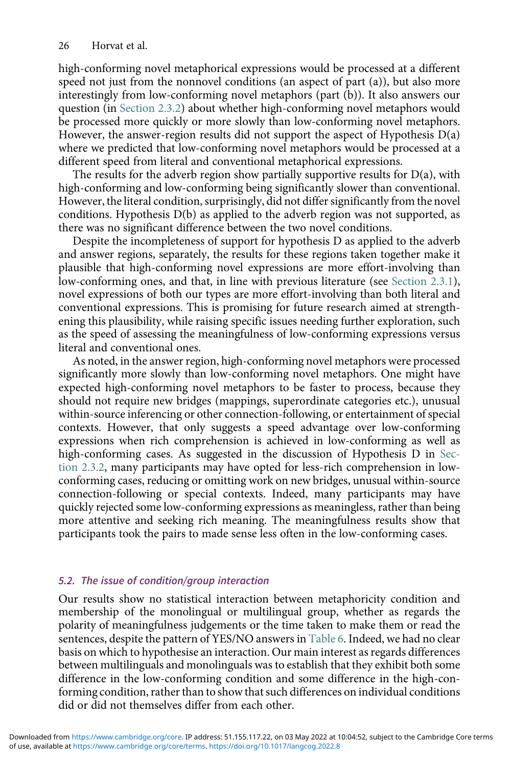high-conforming novel metaphorical expressions would be processed at a different speed not just from the nonnovel conditions (an aspect of part (a)), but also more interestingly from low-conforming novel metaphors (part (b)). It also answers our question (in Section 2.3.2) about whether high-conforming novel metaphors would be processed more quickly or more slowly than low-conforming novel metaphors. However, the answer-region results did not support the aspect of Hypothesis  $D(a)$ where we predicted that low-conforming novel metaphors would be processed at a different speed from literal and conventional metaphorical expressions.

The results for the adverb region show partially supportive results for  $D(a)$ , with high-conforming and low-conforming being significantly slower than conventional. However, the literal condition, surprisingly, did not differ significantly from the novel conditions. Hypothesis D(b) as applied to the adverb region was not supported, as there was no significant difference between the two novel conditions.

Despite the incompleteness of support for hypothesis D as applied to the adverb and answer regions, separately, the results for these regions taken together make it plausible that high-conforming novel expressions are more effort-involving than low-conforming ones, and that, in line with previous literature (see Section 2.3.1), novel expressions of both our types are more effort-involving than both literal and conventional expressions. This is promising for future research aimed at strengthening this plausibility, while raising specific issues needing further exploration, such as the speed of assessing the meaningfulness of low-conforming expressions versus literal and conventional ones.

As noted, in the answer region, high-conforming novel metaphors were processed significantly more slowly than low-conforming novel metaphors. One might have expected high-conforming novel metaphors to be faster to process, because they should not require new bridges (mappings, superordinate categories etc.), unusual within-source inferencing or other connection-following, or entertainment of special contexts. However, that only suggests a speed advantage over low-conforming expressions when rich comprehension is achieved in low-conforming as well as high-conforming cases. As suggested in the discussion of Hypothesis D in Section 2.3.2, many participants may have opted for less-rich comprehension in lowconforming cases, reducing or omitting work on new bridges, unusual within-source connection-following or special contexts. Indeed, many participants may have quickly rejected some low-conforming expressions as meaningless, rather than being more attentive and seeking rich meaning. The meaningfulness results show that participants took the pairs to made sense less often in the low-conforming cases.

# 5.2. The issue of condition/group interaction

Our results show no statistical interaction between metaphoricity condition and membership of the monolingual or multilingual group, whether as regards the polarity of meaningfulness judgements or the time taken to make them or read the sentences, despite the pattern of YES/NO answers in [Table 6.](#page-24-0) Indeed, we had no clear basis on which to hypothesise an interaction. Our main interest as regards differences between multilinguals and monolinguals was to establish that they exhibit both some difference in the low-conforming condition and some difference in the high-conforming condition, rather than to show that such differences on individual conditions did or did not themselves differ from each other.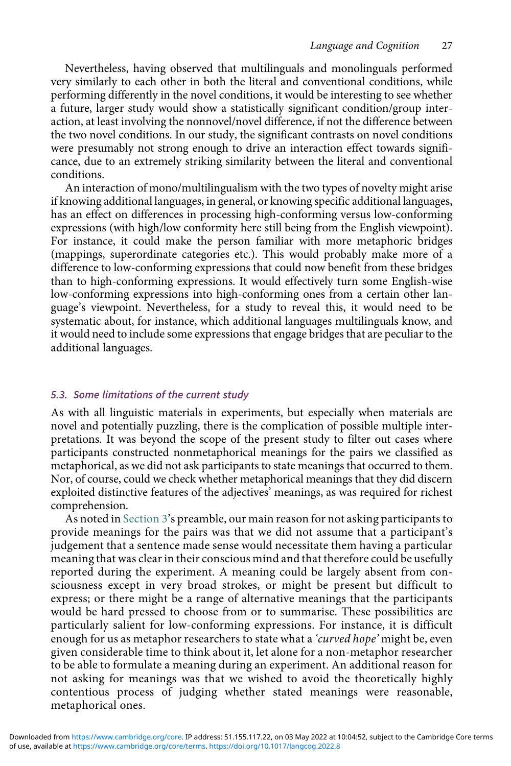Nevertheless, having observed that multilinguals and monolinguals performed very similarly to each other in both the literal and conventional conditions, while performing differently in the novel conditions, it would be interesting to see whether a future, larger study would show a statistically significant condition/group interaction, at least involving the nonnovel/novel difference, if not the difference between the two novel conditions. In our study, the significant contrasts on novel conditions were presumably not strong enough to drive an interaction effect towards significance, due to an extremely striking similarity between the literal and conventional conditions.

An interaction of mono/multilingualism with the two types of novelty might arise if knowing additional languages, in general, or knowing specific additional languages, has an effect on differences in processing high-conforming versus low-conforming expressions (with high/low conformity here still being from the English viewpoint). For instance, it could make the person familiar with more metaphoric bridges (mappings, superordinate categories etc.). This would probably make more of a difference to low-conforming expressions that could now benefit from these bridges than to high-conforming expressions. It would effectively turn some English-wise low-conforming expressions into high-conforming ones from a certain other language's viewpoint. Nevertheless, for a study to reveal this, it would need to be systematic about, for instance, which additional languages multilinguals know, and it would need to include some expressions that engage bridges that are peculiar to the additional languages.

#### 5.3. Some limitations of the current study

As with all linguistic materials in experiments, but especially when materials are novel and potentially puzzling, there is the complication of possible multiple interpretations. It was beyond the scope of the present study to filter out cases where participants constructed nonmetaphorical meanings for the pairs we classified as metaphorical, as we did not ask participants to state meanings that occurred to them. Nor, of course, could we check whether metaphorical meanings that they did discern exploited distinctive features of the adjectives' meanings, as was required for richest comprehension.

As noted in Section 3's preamble, our main reason for not asking participants to provide meanings for the pairs was that we did not assume that a participant's judgement that a sentence made sense would necessitate them having a particular meaning that was clear in their conscious mind and that therefore could be usefully reported during the experiment. A meaning could be largely absent from consciousness except in very broad strokes, or might be present but difficult to express; or there might be a range of alternative meanings that the participants would be hard pressed to choose from or to summarise. These possibilities are particularly salient for low-conforming expressions. For instance, it is difficult enough for us as metaphor researchers to state what a '*curved hope*' might be, even given considerable time to think about it, let alone for a non-metaphor researcher to be able to formulate a meaning during an experiment. An additional reason for not asking for meanings was that we wished to avoid the theoretically highly contentious process of judging whether stated meanings were reasonable, metaphorical ones.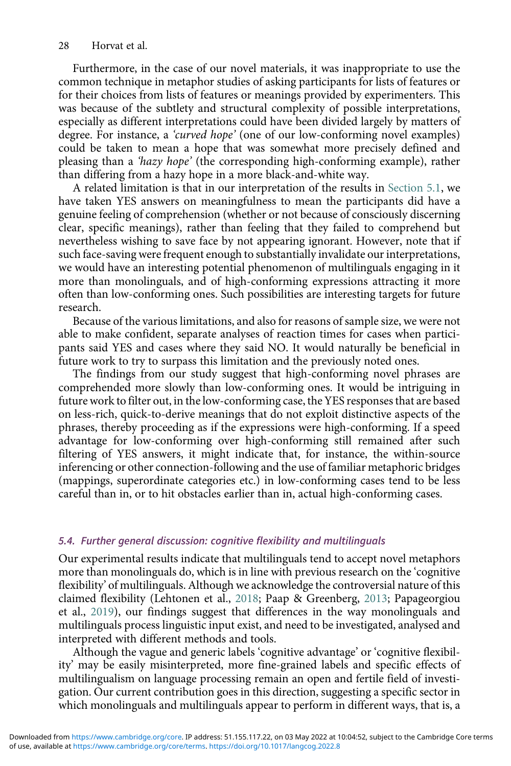Furthermore, in the case of our novel materials, it was inappropriate to use the common technique in metaphor studies of asking participants for lists of features or for their choices from lists of features or meanings provided by experimenters. This was because of the subtlety and structural complexity of possible interpretations, especially as different interpretations could have been divided largely by matters of degree. For instance, a 'curved hope' (one of our low-conforming novel examples) could be taken to mean a hope that was somewhat more precisely defined and pleasing than a 'hazy hope' (the corresponding high-conforming example), rather than differing from a hazy hope in a more black-and-white way.

A related limitation is that in our interpretation of the results in Section 5.1, we have taken YES answers on meaningfulness to mean the participants did have a genuine feeling of comprehension (whether or not because of consciously discerning clear, specific meanings), rather than feeling that they failed to comprehend but nevertheless wishing to save face by not appearing ignorant. However, note that if such face-saving were frequent enough to substantially invalidate our interpretations, we would have an interesting potential phenomenon of multilinguals engaging in it more than monolinguals, and of high-conforming expressions attracting it more often than low-conforming ones. Such possibilities are interesting targets for future research.

Because of the various limitations, and also for reasons of sample size, we were not able to make confident, separate analyses of reaction times for cases when participants said YES and cases where they said NO. It would naturally be beneficial in future work to try to surpass this limitation and the previously noted ones.

The findings from our study suggest that high-conforming novel phrases are comprehended more slowly than low-conforming ones. It would be intriguing in future work to filter out, in the low-conforming case, the YES responses that are based on less-rich, quick-to-derive meanings that do not exploit distinctive aspects of the phrases, thereby proceeding as if the expressions were high-conforming. If a speed advantage for low-conforming over high-conforming still remained after such filtering of YES answers, it might indicate that, for instance, the within-source inferencing or other connection-following and the use of familiar metaphoric bridges (mappings, superordinate categories etc.) in low-conforming cases tend to be less careful than in, or to hit obstacles earlier than in, actual high-conforming cases.

#### 5.4. Further general discussion: cognitive flexibility and multilinguals

Our experimental results indicate that multilinguals tend to accept novel metaphors more than monolinguals do, which is in line with previous research on the 'cognitive flexibility' of multilinguals. Although we acknowledge the controversial nature of this claimed flexibility (Lehtonen et al., [2018;](#page-35-2) Paap & Greenberg, [2013;](#page-35-3) Papageorgiou et al., [2019](#page-35-4)), our findings suggest that differences in the way monolinguals and multilinguals process linguistic input exist, and need to be investigated, analysed and interpreted with different methods and tools.

Although the vague and generic labels 'cognitive advantage' or 'cognitive flexibility' may be easily misinterpreted, more fine-grained labels and specific effects of multilingualism on language processing remain an open and fertile field of investigation. Our current contribution goes in this direction, suggesting a specific sector in which monolinguals and multilinguals appear to perform in different ways, that is, a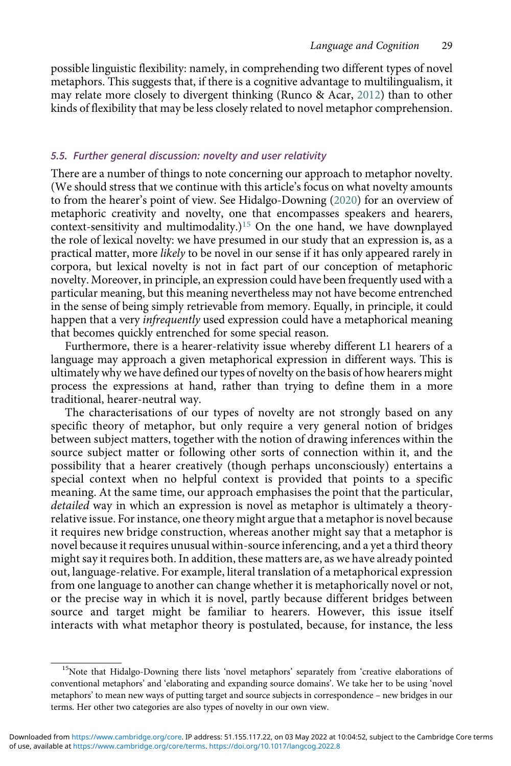possible linguistic flexibility: namely, in comprehending two different types of novel metaphors. This suggests that, if there is a cognitive advantage to multilingualism, it may relate more closely to divergent thinking (Runco & Acar, [2012\)](#page-35-5) than to other kinds of flexibility that may be less closely related to novel metaphor comprehension.

# 5.5. Further general discussion: novelty and user relativity

There are a number of things to note concerning our approach to metaphor novelty. (We should stress that we continue with this article's focus on what novelty amounts to from the hearer's point of view. See Hidalgo-Downing [\(2020](#page-34-24)) for an overview of metaphoric creativity and novelty, one that encompasses speakers and hearers, context-sensitivity and multimodality.)<sup>[15](#page-29-0)</sup> On the one hand, we have downplayed the role of lexical novelty: we have presumed in our study that an expression is, as a practical matter, more likely to be novel in our sense if it has only appeared rarely in corpora, but lexical novelty is not in fact part of our conception of metaphoric novelty. Moreover, in principle, an expression could have been frequently used with a particular meaning, but this meaning nevertheless may not have become entrenched in the sense of being simply retrievable from memory. Equally, in principle, it could happen that a very *infrequently* used expression could have a metaphorical meaning that becomes quickly entrenched for some special reason.

Furthermore, there is a hearer-relativity issue whereby different L1 hearers of a language may approach a given metaphorical expression in different ways. This is ultimately why we have defined our types of novelty on the basis of how hearers might process the expressions at hand, rather than trying to define them in a more traditional, hearer-neutral way.

The characterisations of our types of novelty are not strongly based on any specific theory of metaphor, but only require a very general notion of bridges between subject matters, together with the notion of drawing inferences within the source subject matter or following other sorts of connection within it, and the possibility that a hearer creatively (though perhaps unconsciously) entertains a special context when no helpful context is provided that points to a specific meaning. At the same time, our approach emphasises the point that the particular, detailed way in which an expression is novel as metaphor is ultimately a theoryrelative issue. For instance, one theory might argue that a metaphor is novel because it requires new bridge construction, whereas another might say that a metaphor is novel because it requires unusual within-source inferencing, and a yet a third theory might say it requires both. In addition, these matters are, as we have already pointed out, language-relative. For example, literal translation of a metaphorical expression from one language to another can change whether it is metaphorically novel or not, or the precise way in which it is novel, partly because different bridges between source and target might be familiar to hearers. However, this issue itself interacts with what metaphor theory is postulated, because, for instance, the less

<span id="page-29-0"></span><sup>&</sup>lt;sup>15</sup>Note that Hidalgo-Downing there lists 'novel metaphors' separately from 'creative elaborations of conventional metaphors' and 'elaborating and expanding source domains'. We take her to be using 'novel metaphors' to mean new ways of putting target and source subjects in correspondence – new bridges in our terms. Her other two categories are also types of novelty in our own view.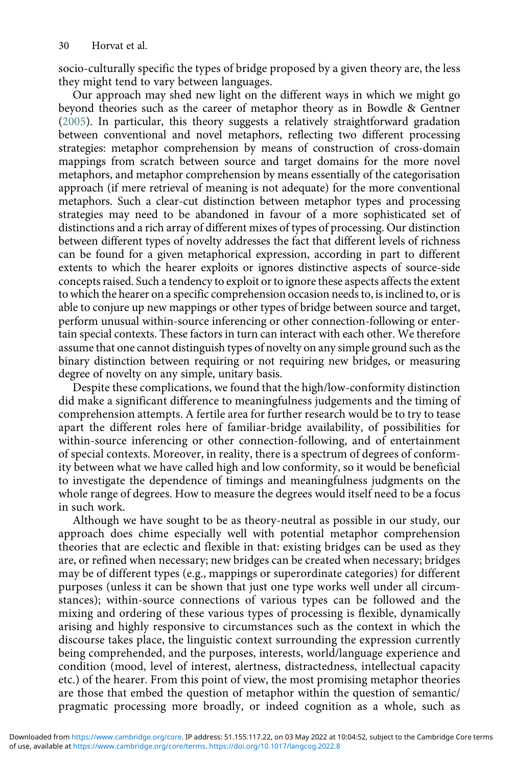socio-culturally specific the types of bridge proposed by a given theory are, the less they might tend to vary between languages.

Our approach may shed new light on the different ways in which we might go beyond theories such as the career of metaphor theory as in Bowdle & Gentner ([2005](#page-33-15)). In particular, this theory suggests a relatively straightforward gradation between conventional and novel metaphors, reflecting two different processing strategies: metaphor comprehension by means of construction of cross-domain mappings from scratch between source and target domains for the more novel metaphors, and metaphor comprehension by means essentially of the categorisation approach (if mere retrieval of meaning is not adequate) for the more conventional metaphors. Such a clear-cut distinction between metaphor types and processing strategies may need to be abandoned in favour of a more sophisticated set of distinctions and a rich array of different mixes of types of processing. Our distinction between different types of novelty addresses the fact that different levels of richness can be found for a given metaphorical expression, according in part to different extents to which the hearer exploits or ignores distinctive aspects of source-side concepts raised. Such a tendency to exploit or to ignore these aspects affects the extent to which the hearer on a specific comprehension occasion needs to, is inclined to, or is able to conjure up new mappings or other types of bridge between source and target, perform unusual within-source inferencing or other connection-following or entertain special contexts. These factors in turn can interact with each other. We therefore assume that one cannot distinguish types of novelty on any simple ground such as the binary distinction between requiring or not requiring new bridges, or measuring degree of novelty on any simple, unitary basis.

Despite these complications, we found that the high/low-conformity distinction did make a significant difference to meaningfulness judgements and the timing of comprehension attempts. A fertile area for further research would be to try to tease apart the different roles here of familiar-bridge availability, of possibilities for within-source inferencing or other connection-following, and of entertainment of special contexts. Moreover, in reality, there is a spectrum of degrees of conformity between what we have called high and low conformity, so it would be beneficial to investigate the dependence of timings and meaningfulness judgments on the whole range of degrees. How to measure the degrees would itself need to be a focus in such work.

Although we have sought to be as theory-neutral as possible in our study, our approach does chime especially well with potential metaphor comprehension theories that are eclectic and flexible in that: existing bridges can be used as they are, or refined when necessary; new bridges can be created when necessary; bridges may be of different types (e.g., mappings or superordinate categories) for different purposes (unless it can be shown that just one type works well under all circumstances); within-source connections of various types can be followed and the mixing and ordering of these various types of processing is flexible, dynamically arising and highly responsive to circumstances such as the context in which the discourse takes place, the linguistic context surrounding the expression currently being comprehended, and the purposes, interests, world/language experience and condition (mood, level of interest, alertness, distractedness, intellectual capacity etc.) of the hearer. From this point of view, the most promising metaphor theories are those that embed the question of metaphor within the question of semantic/ pragmatic processing more broadly, or indeed cognition as a whole, such as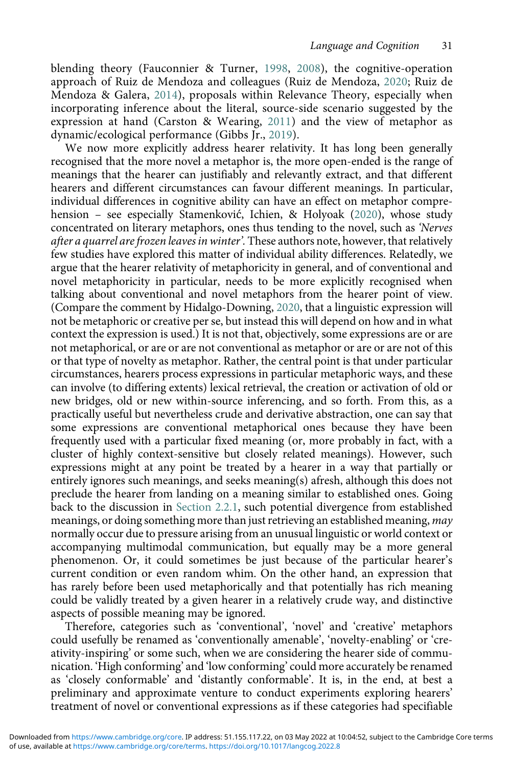blending theory (Fauconnier & Turner, [1998,](#page-34-17) [2008](#page-34-18)), the cognitive-operation approach of Ruiz de Mendoza and colleagues (Ruiz de Mendoza, [2020;](#page-35-23) Ruiz de Mendoza & Galera, [2014\)](#page-35-16), proposals within Relevance Theory, especially when incorporating inference about the literal, source-side scenario suggested by the expression at hand (Carston & Wearing, [2011\)](#page-33-20) and the view of metaphor as dynamic/ecological performance (Gibbs Jr., [2019\)](#page-34-25).

We now more explicitly address hearer relativity. It has long been generally recognised that the more novel a metaphor is, the more open-ended is the range of meanings that the hearer can justifiably and relevantly extract, and that different hearers and different circumstances can favour different meanings. In particular, individual differences in cognitive ability can have an effect on metaphor comprehension – see especially Stamenković, Ichien, & Holyoak ([2020](#page-35-24)), whose study concentrated on literary metaphors, ones thus tending to the novel, such as 'Nerves after a quarrel are frozen leaves in winter'. These authors note, however, that relatively few studies have explored this matter of individual ability differences. Relatedly, we argue that the hearer relativity of metaphoricity in general, and of conventional and novel metaphoricity in particular, needs to be more explicitly recognised when talking about conventional and novel metaphors from the hearer point of view. (Compare the comment by Hidalgo-Downing, [2020,](#page-34-24) that a linguistic expression will not be metaphoric or creative per se, but instead this will depend on how and in what context the expression is used.) It is not that, objectively, some expressions are or are not metaphorical, or are or are not conventional as metaphor or are or are not of this or that type of novelty as metaphor. Rather, the central point is that under particular circumstances, hearers process expressions in particular metaphoric ways, and these can involve (to differing extents) lexical retrieval, the creation or activation of old or new bridges, old or new within-source inferencing, and so forth. From this, as a practically useful but nevertheless crude and derivative abstraction, one can say that some expressions are conventional metaphorical ones because they have been frequently used with a particular fixed meaning (or, more probably in fact, with a cluster of highly context-sensitive but closely related meanings). However, such expressions might at any point be treated by a hearer in a way that partially or entirely ignores such meanings, and seeks meaning(s) afresh, although this does not preclude the hearer from landing on a meaning similar to established ones. Going back to the discussion in Section 2.2.1, such potential divergence from established meanings, or doing something more than just retrieving an established meaning, may normally occur due to pressure arising from an unusual linguistic or world context or accompanying multimodal communication, but equally may be a more general phenomenon. Or, it could sometimes be just because of the particular hearer's current condition or even random whim. On the other hand, an expression that has rarely before been used metaphorically and that potentially has rich meaning could be validly treated by a given hearer in a relatively crude way, and distinctive aspects of possible meaning may be ignored.

Therefore, categories such as 'conventional', 'novel' and 'creative' metaphors could usefully be renamed as 'conventionally amenable', 'novelty-enabling' or 'creativity-inspiring' or some such, when we are considering the hearer side of communication. 'High conforming' and 'low conforming' could more accurately be renamed as 'closely conformable' and 'distantly conformable'. It is, in the end, at best a preliminary and approximate venture to conduct experiments exploring hearers' treatment of novel or conventional expressions as if these categories had specifiable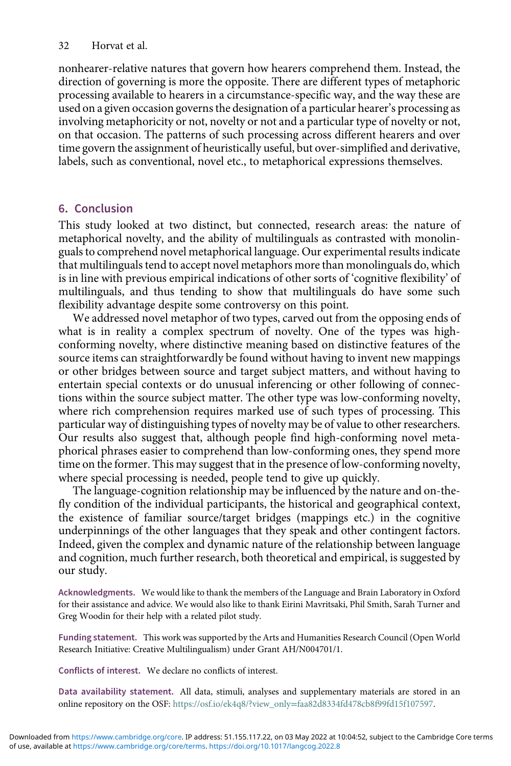nonhearer-relative natures that govern how hearers comprehend them. Instead, the direction of governing is more the opposite. There are different types of metaphoric processing available to hearers in a circumstance-specific way, and the way these are used on a given occasion governs the designation of a particular hearer's processing as involving metaphoricity or not, novelty or not and a particular type of novelty or not, on that occasion. The patterns of such processing across different hearers and over time govern the assignment of heuristically useful, but over-simplified and derivative, labels, such as conventional, novel etc., to metaphorical expressions themselves.

# 6. Conclusion

This study looked at two distinct, but connected, research areas: the nature of metaphorical novelty, and the ability of multilinguals as contrasted with monolinguals to comprehend novel metaphorical language. Our experimental results indicate that multilinguals tend to accept novel metaphors more than monolinguals do, which is in line with previous empirical indications of other sorts of 'cognitive flexibility' of multilinguals, and thus tending to show that multilinguals do have some such flexibility advantage despite some controversy on this point.

We addressed novel metaphor of two types, carved out from the opposing ends of what is in reality a complex spectrum of novelty. One of the types was highconforming novelty, where distinctive meaning based on distinctive features of the source items can straightforwardly be found without having to invent new mappings or other bridges between source and target subject matters, and without having to entertain special contexts or do unusual inferencing or other following of connections within the source subject matter. The other type was low-conforming novelty, where rich comprehension requires marked use of such types of processing. This particular way of distinguishing types of novelty may be of value to other researchers. Our results also suggest that, although people find high-conforming novel metaphorical phrases easier to comprehend than low-conforming ones, they spend more time on the former. This may suggest that in the presence of low-conforming novelty, where special processing is needed, people tend to give up quickly.

The language-cognition relationship may be influenced by the nature and on-thefly condition of the individual participants, the historical and geographical context, the existence of familiar source/target bridges (mappings etc.) in the cognitive underpinnings of the other languages that they speak and other contingent factors. Indeed, given the complex and dynamic nature of the relationship between language and cognition, much further research, both theoretical and empirical, is suggested by our study.

Acknowledgments. We would like to thank the members of the Language and Brain Laboratory in Oxford for their assistance and advice. We would also like to thank Eirini Mavritsaki, Phil Smith, Sarah Turner and Greg Woodin for their help with a related pilot study.

Funding statement. This work was supported by the Arts and Humanities Research Council (Open World Research Initiative: Creative Multilingualism) under Grant AH/N004701/1.

Conflicts of interest. We declare no conflicts of interest.

Data availability statement. All data, stimuli, analyses and supplementary materials are stored in an online repository on the OSF: https://osf.io/ek4q8/?view\_only=[faa82d8334fd478cb8f99fd15f107597](https://osf.io/ek4q8/?view_onlyfaa82d8334fd478cb8f99fd15f107597).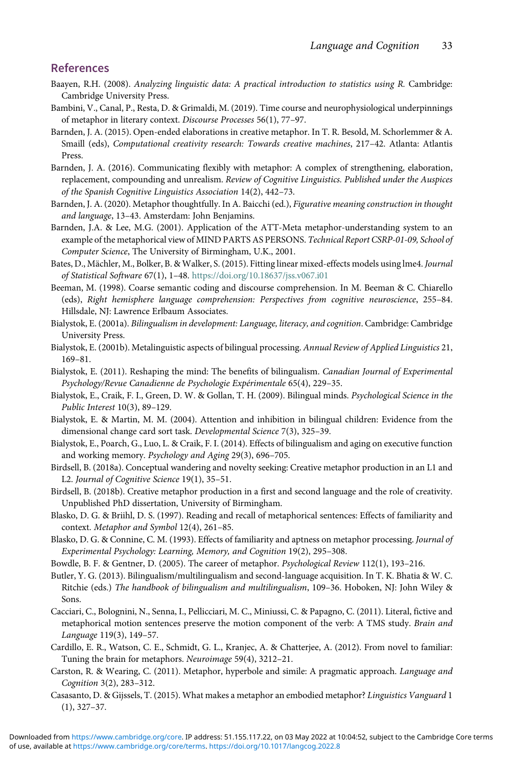# References

- <span id="page-33-23"></span>Baayen, R.H. (2008). Analyzing linguistic data: A practical introduction to statistics using R. Cambridge: Cambridge University Press.
- <span id="page-33-14"></span>Bambini, V., Canal, P., Resta, D. & Grimaldi, M. (2019). Time course and neurophysiological underpinnings of metaphor in literary context. Discourse Processes 56(1), 77–97.
- <span id="page-33-1"></span>Barnden, J. A. (2015). Open-ended elaborations in creative metaphor. In T. R. Besold, M. Schorlemmer & A. Smaill (eds), Computational creativity research: Towards creative machines, 217–42. Atlanta: Atlantis Press.
- <span id="page-33-18"></span>Barnden, J. A. (2016). Communicating flexibly with metaphor: A complex of strengthening, elaboration, replacement, compounding and unrealism. Review of Cognitive Linguistics. Published under the Auspices of the Spanish Cognitive Linguistics Association 14(2), 442–73.
- <span id="page-33-17"></span>Barnden, J. A. (2020). Metaphor thoughtfully. In A. Baicchi (ed.), Figurative meaning construction in thought and language, 13–43. Amsterdam: John Benjamins.
- <span id="page-33-19"></span>Barnden, J.A. & Lee, M.G. (2001). Application of the ATT-Meta metaphor-understanding system to an example of the metaphorical view of MIND PARTS AS PERSONS. Technical Report CSRP-01-09, School of Computer Science, The University of Birmingham, U.K., 2001.
- <span id="page-33-22"></span>Bates, D., Mächler, M., Bolker, B. & Walker, S. (2015). Fitting linear mixed-effects models using lme4. Journal of Statistical Software 67(1), 1–48. <https://doi.org/10.18637/jss.v067.i01>
- <span id="page-33-8"></span>Beeman, M. (1998). Coarse semantic coding and discourse comprehension. In M. Beeman & C. Chiarello (eds), Right hemisphere language comprehension: Perspectives from cognitive neuroscience, 255–84. Hillsdale, NJ: Lawrence Erlbaum Associates.
- <span id="page-33-2"></span>Bialystok, E. (2001a). Bilingualism in development: Language, literacy, and cognition. Cambridge: Cambridge University Press.
- <span id="page-33-3"></span>Bialystok, E. (2001b). Metalinguistic aspects of bilingual processing. Annual Review of Applied Linguistics 21, 169–81.
- <span id="page-33-0"></span>Bialystok, E. (2011). Reshaping the mind: The benefits of bilingualism. Canadian Journal of Experimental Psychology/Revue Canadienne de Psychologie Expérimentale 65(4), 229–35.
- <span id="page-33-9"></span>Bialystok, E., Craik, F. I., Green, D. W. & Gollan, T. H. (2009). Bilingual minds. Psychological Science in the Public Interest 10(3), 89–129.
- <span id="page-33-5"></span>Bialystok, E. & Martin, M. M. (2004). Attention and inhibition in bilingual children: Evidence from the dimensional change card sort task. Developmental Science 7(3), 325–39.
- <span id="page-33-4"></span>Bialystok, E., Poarch, G., Luo, L. & Craik, F. I. (2014). Effects of bilingualism and aging on executive function and working memory. Psychology and Aging 29(3), 696–705.
- <span id="page-33-6"></span>Birdsell, B. (2018a). Conceptual wandering and novelty seeking: Creative metaphor production in an L1 and L2. Journal of Cognitive Science 19(1), 35–51.
- <span id="page-33-13"></span><span id="page-33-7"></span>Birdsell, B. (2018b). Creative metaphor production in a first and second language and the role of creativity. Unpublished PhD dissertation, University of Birmingham.
- Blasko, D. G. & Briihl, D. S. (1997). Reading and recall of metaphorical sentences: Effects of familiarity and context. Metaphor and Symbol 12(4), 261–85.
- <span id="page-33-12"></span>Blasko, D. G. & Connine, C. M. (1993). Effects of familiarity and aptness on metaphor processing. Journal of Experimental Psychology: Learning, Memory, and Cognition 19(2), 295–308.
- <span id="page-33-21"></span><span id="page-33-15"></span>Bowdle, B. F. & Gentner, D. (2005). The career of metaphor. Psychological Review 112(1), 193–216.
- Butler, Y. G. (2013). Bilingualism/multilingualism and second-language acquisition. In T. K. Bhatia & W. C. Ritchie (eds.) The handbook of bilingualism and multilingualism, 109–36. Hoboken, NJ: John Wiley & Sons.
- <span id="page-33-10"></span>Cacciari, C., Bolognini, N., Senna, I., Pellicciari, M. C., Miniussi, C. & Papagno, C. (2011). Literal, fictive and metaphorical motion sentences preserve the motion component of the verb: A TMS study. Brain and Language 119(3), 149–57.
- <span id="page-33-20"></span><span id="page-33-11"></span>Cardillo, E. R., Watson, C. E., Schmidt, G. L., Kranjec, A. & Chatterjee, A. (2012). From novel to familiar: Tuning the brain for metaphors. Neuroimage 59(4), 3212–21.
- <span id="page-33-16"></span>Carston, R. & Wearing, C. (2011). Metaphor, hyperbole and simile: A pragmatic approach. Language and Cognition 3(2), 283–312.
- Casasanto, D. & Gijssels, T. (2015). What makes a metaphor an embodied metaphor? Linguistics Vanguard 1 (1), 327–37.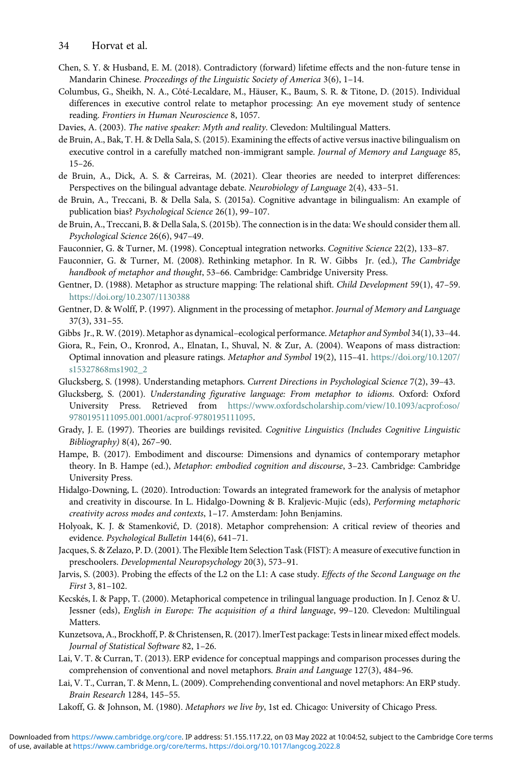- <span id="page-34-21"></span>Chen, S. Y. & Husband, E. M. (2018). Contradictory (forward) lifetime effects and the non-future tense in Mandarin Chinese. Proceedings of the Linguistic Society of America 3(6), 1–14.
- <span id="page-34-7"></span>Columbus, G., Sheikh, N. A., Côté-Lecaldare, M., Häuser, K., Baum, S. R. & Titone, D. (2015). Individual differences in executive control relate to metaphor processing: An eye movement study of sentence reading. Frontiers in Human Neuroscience 8, 1057.
- <span id="page-34-22"></span><span id="page-34-2"></span>Davies, A. (2003). The native speaker: Myth and reality. Clevedon: Multilingual Matters.
- de Bruin, A., Bak, T. H. & Della Sala, S. (2015). Examining the effects of active versus inactive bilingualism on executive control in a carefully matched non-immigrant sample. Journal of Memory and Language 85, 15–26.
- <span id="page-34-3"></span>de Bruin, A., Dick, A. S. & Carreiras, M. (2021). Clear theories are needed to interpret differences: Perspectives on the bilingual advantage debate. Neurobiology of Language 2(4), 433–51.
- <span id="page-34-4"></span>de Bruin, A., Treccani, B. & Della Sala, S. (2015a). Cognitive advantage in bilingualism: An example of publication bias? Psychological Science 26(1), 99–107.
- <span id="page-34-5"></span>de Bruin, A., Treccani, B. & Della Sala, S. (2015b). The connection is in the data: We should consider them all. Psychological Science 26(6), 947–49.
- <span id="page-34-18"></span><span id="page-34-17"></span>Fauconnier, G. & Turner, M. (1998). Conceptual integration networks. Cognitive Science 22(2), 133–87.
- Fauconnier, G. & Turner, M. (2008). Rethinking metaphor. In R. W. Gibbs Jr. (ed.), The Cambridge handbook of metaphor and thought, 53–66. Cambridge: Cambridge University Press.
- <span id="page-34-10"></span>Gentner, D. (1988). Metaphor as structure mapping: The relational shift. Child Development 59(1), 47–59. <https://doi.org/10.2307/1130388>
- <span id="page-34-11"></span>Gentner, D. & Wolff, P. (1997). Alignment in the processing of metaphor. Journal of Memory and Language 37(3), 331–55.
- <span id="page-34-25"></span><span id="page-34-8"></span>Gibbs Jr., R. W. (2019). Metaphor as dynamical–ecological performance. Metaphor and Symbol 34(1), 33–44.
- Giora, R., Fein, O., Kronrod, A., Elnatan, I., Shuval, N. & Zur, A. (2004). Weapons of mass distraction: Optimal innovation and pleasure ratings. Metaphor and Symbol 19(2), 115–41. [https://doi.org/10.1207/](https://doi.org/10.1207/s15327868ms1902_2) [s15327868ms1902\\_2](https://doi.org/10.1207/s15327868ms1902_2)
- <span id="page-34-16"></span><span id="page-34-15"></span>Glucksberg, S. (1998). Understanding metaphors. Current Directions in Psychological Science 7(2), 39–43.
- Glucksberg, S. (2001). Understanding figurative language: From metaphor to idioms. Oxford: Oxford University Press. Retrieved from [https://www.oxfordscholarship.com/view/10.1093/acprof:oso/](https://www.oxfordscholarship.com/view/10.1093/acprof:oso/9780195111095.001.0001/acprof-9780195111095) [9780195111095.001.0001/acprof-9780195111095](https://www.oxfordscholarship.com/view/10.1093/acprof:oso/9780195111095.001.0001/acprof-9780195111095).
- <span id="page-34-14"></span><span id="page-34-12"></span>Grady, J. E. (1997). Theories are buildings revisited. Cognitive Linguistics (Includes Cognitive Linguistic Bibliography) 8(4), 267–90.
- Hampe, B. (2017). Embodiment and discourse: Dimensions and dynamics of contemporary metaphor theory. In B. Hampe (ed.), Metaphor: embodied cognition and discourse, 3-23. Cambridge: Cambridge University Press.
- <span id="page-34-24"></span>Hidalgo-Downing, L. (2020). Introduction: Towards an integrated framework for the analysis of metaphor and creativity in discourse. In L. Hidalgo-Downing & B. Kraljevic-Mujic (eds), Performing metaphoric creativity across modes and contexts, 1–17. Amsterdam: John Benjamins.
- <span id="page-34-9"></span><span id="page-34-0"></span>Holyoak, K. J. & Stamenković, D. (2018). Metaphor comprehension: A critical review of theories and evidence. Psychological Bulletin 144(6), 641–71.
- <span id="page-34-1"></span>Jacques, S. & Zelazo, P. D. (2001). The Flexible Item Selection Task (FIST): A measure of executive function in preschoolers. Developmental Neuropsychology 20(3), 573–91.
- <span id="page-34-6"></span>Jarvis, S. (2003). Probing the effects of the L2 on the L1: A case study. Effects of the Second Language on the First 3, 81–102.
- Kecskés, I. & Papp, T. (2000). Metaphorical competence in trilingual language production. In J. Cenoz & U. Jessner (eds), English in Europe: The acquisition of a third language, 99–120. Clevedon: Multilingual Matters.
- <span id="page-34-23"></span><span id="page-34-19"></span>Kunzetsova, A., Brockhoff, P. & Christensen, R. (2017). lmerTest package: Tests in linear mixed effect models. Journal of Statistical Software 82, 1–26.
- <span id="page-34-20"></span>Lai, V. T. & Curran, T. (2013). ERP evidence for conceptual mappings and comparison processes during the comprehension of conventional and novel metaphors. Brain and Language 127(3), 484–96.
- <span id="page-34-13"></span>Lai, V. T., Curran, T. & Menn, L. (2009). Comprehending conventional and novel metaphors: An ERP study. Brain Research 1284, 145–55.
- Lakoff, G. & Johnson, M. (1980). Metaphors we live by, 1st ed. Chicago: University of Chicago Press.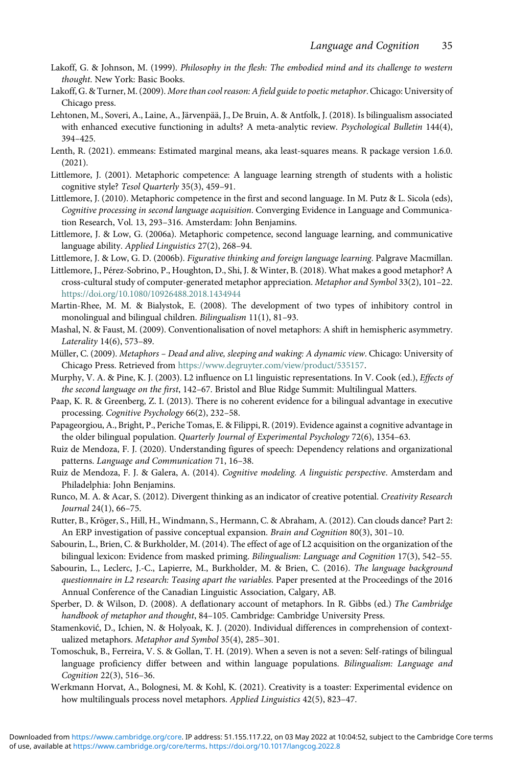- <span id="page-35-14"></span>Lakoff, G. & Johnson, M. (1999). Philosophy in the flesh: The embodied mind and its challenge to western thought. New York: Basic Books.
- <span id="page-35-17"></span>Lakoff, G. & Turner, M. (2009). More than cool reason: A field guide to poetic metaphor. Chicago: University of Chicago press.
- <span id="page-35-2"></span>Lehtonen, M., Soveri, A., Laine, A., Järvenpää, J., De Bruin, A. & Antfolk, J. (2018). Is bilingualism associated with enhanced executive functioning in adults? A meta-analytic review. Psychological Bulletin 144(4), 394–425.
- <span id="page-35-22"></span>Lenth, R. (2021). emmeans: Estimated marginal means, aka least-squares means. R package version 1.6.0. (2021).
- <span id="page-35-6"></span>Littlemore, J. (2001). Metaphoric competence: A language learning strength of students with a holistic cognitive style? Tesol Quarterly 35(3), 459–91.
- <span id="page-35-7"></span>Littlemore, J. (2010). Metaphoric competence in the first and second language. In M. Putz & L. Sicola (eds), Cognitive processing in second language acquisition. Converging Evidence in Language and Communication Research, Vol. 13, 293–316. Amsterdam: John Benjamins.
- <span id="page-35-8"></span>Littlemore, J. & Low, G. (2006a). Metaphoric competence, second language learning, and communicative language ability. Applied Linguistics 27(2), 268–94.
- <span id="page-35-11"></span><span id="page-35-9"></span>Littlemore, J. & Low, G. D. (2006b). Figurative thinking and foreign language learning. Palgrave Macmillan.
- Littlemore, J., Pérez-Sobrino, P., Houghton, D., Shi, J. & Winter, B. (2018). What makes a good metaphor? A cross-cultural study of computer-generated metaphor appreciation. Metaphor and Symbol 33(2), 101–22. <https://doi.org/10.1080/10926488.2018.1434944>
- <span id="page-35-0"></span>Martin-Rhee, M. M. & Bialystok, E. (2008). The development of two types of inhibitory control in monolingual and bilingual children. Bilingualism 11(1), 81–93.
- <span id="page-35-10"></span>Mashal, N. & Faust, M. (2009). Conventionalisation of novel metaphors: A shift in hemispheric asymmetry. Laterality 14(6), 573–89.
- <span id="page-35-13"></span>Müller, C. (2009). Metaphors – Dead and alive, sleeping and waking: A dynamic view. Chicago: University of Chicago Press. Retrieved from <https://www.degruyter.com/view/product/535157>.
- <span id="page-35-1"></span>Murphy, V. A. & Pine, K. J. (2003). L2 influence on L1 linguistic representations. In V. Cook (ed.), *Effects of* the second language on the first, 142–67. Bristol and Blue Ridge Summit: Multilingual Matters.
- <span id="page-35-3"></span>Paap, K. R. & Greenberg, Z. I. (2013). There is no coherent evidence for a bilingual advantage in executive processing. Cognitive Psychology 66(2), 232–58.
- <span id="page-35-4"></span>Papageorgiou, A., Bright, P., Periche Tomas, E. & Filippi, R. (2019). Evidence against a cognitive advantage in the older bilingual population. Quarterly Journal of Experimental Psychology 72(6), 1354–63.
- <span id="page-35-23"></span>Ruiz de Mendoza, F. J. (2020). Understanding figures of speech: Dependency relations and organizational patterns. Language and Communication 71, 16–38.
- <span id="page-35-16"></span>Ruiz de Mendoza, F. J. & Galera, A. (2014). Cognitive modeling. A linguistic perspective. Amsterdam and Philadelphia: John Benjamins.
- <span id="page-35-5"></span>Runco, M. A. & Acar, S. (2012). Divergent thinking as an indicator of creative potential. Creativity Research Journal 24(1), 66–75.
- <span id="page-35-18"></span>Rutter, B., Kröger, S., Hill, H., Windmann, S., Hermann, C. & Abraham, A. (2012). Can clouds dance? Part 2: An ERP investigation of passive conceptual expansion. Brain and Cognition 80(3), 301–10.
- <span id="page-35-20"></span>Sabourin, L., Brien, C. & Burkholder, M. (2014). The effect of age of L2 acquisition on the organization of the bilingual lexicon: Evidence from masked priming. Bilingualism: Language and Cognition 17(3), 542–55.
- <span id="page-35-21"></span>Sabourin, L., Leclerc, J.-C., Lapierre, M., Burkholder, M. & Brien, C. (2016). The language background questionnaire in L2 research: Teasing apart the variables. Paper presented at the Proceedings of the 2016 Annual Conference of the Canadian Linguistic Association, Calgary, AB.
- <span id="page-35-15"></span>Sperber, D. & Wilson, D. (2008). A deflationary account of metaphors. In R. Gibbs (ed.) The Cambridge handbook of metaphor and thought, 84–105. Cambridge: Cambridge University Press.
- <span id="page-35-24"></span>Stamenković, D., Ichien, N. & Holyoak, K. J. (2020). Individual differences in comprehension of contextualized metaphors. Metaphor and Symbol 35(4), 285–301.
- <span id="page-35-19"></span>Tomoschuk, B., Ferreira, V. S. & Gollan, T. H. (2019). When a seven is not a seven: Self-ratings of bilingual language proficiency differ between and within language populations. Bilingualism: Language and Cognition 22(3), 516–36.
- <span id="page-35-12"></span>Werkmann Horvat, A., Bolognesi, M. & Kohl, K. (2021). Creativity is a toaster: Experimental evidence on how multilinguals process novel metaphors. Applied Linguistics 42(5), 823–47.